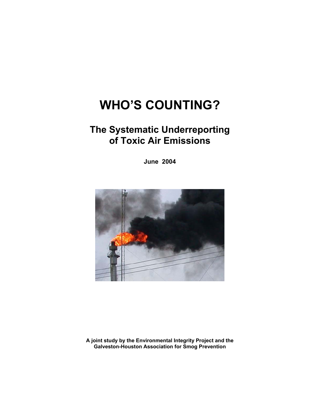# **WHO'S COUNTING?**

# **The Systematic Underreporting of Toxic Air Emissions**

**June 2004** 



**A joint study by the Environmental Integrity Project and the Galveston-Houston Association for Smog Prevention**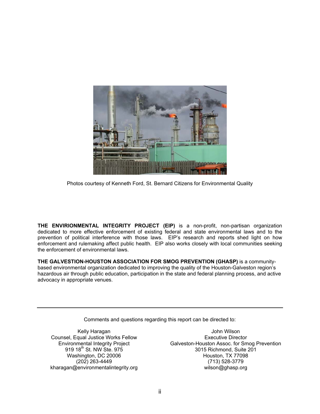

Photos courtesy of Kenneth Ford, St. Bernard Citizens for Environmental Quality

**THE ENVIRIONMENTAL INTEGRITY PROJECT (EIP)** is a non-profit, non-partisan organization dedicated to more effective enforcement of existing federal and state environmental laws and to the prevention of political interference with those laws. EIP's research and reports shed light on how enforcement and rulemaking affect public health. EIP also works closely with local communities seeking the enforcement of environmental laws.

**THE GALVESTION-HOUSTON ASSOCIATION FOR SMOG PREVENTION (GHASP)** is a communitybased environmental organization dedicated to improving the quality of the Houston-Galveston region's hazardous air through public education, participation in the state and federal planning process, and active advocacy in appropriate venues.

Comments and questions regarding this report can be directed to:

Kelly Haragan Counsel, Equal Justice Works Fellow Environmental Integrity Project 919 18<sup>th</sup> St. NW Ste. 975 Washington, DC 20006 (202) 263-4449 kharagan@environmentalintegrity.org

John Wilson Executive Director Galveston-Houston Assoc. for Smog Prevention 3015 Richmond, Suite 201 Houston, TX 77098 (713) 528-3779 wilson@ghasp.org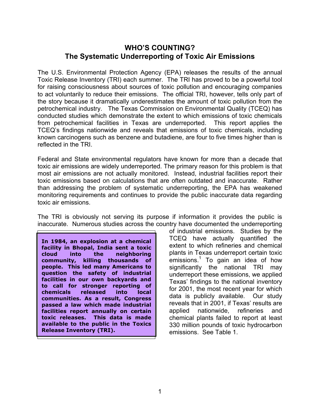### **WHO'S COUNTING? The Systematic Underreporting of Toxic Air Emissions**

The U.S. Environmental Protection Agency (EPA) releases the results of the annual Toxic Release Inventory (TRI) each summer. The TRI has proved to be a powerful tool for raising consciousness about sources of toxic pollution and encouraging companies to act voluntarily to reduce their emissions. The official TRI, however, tells only part of the story because it dramatically underestimates the amount of toxic pollution from the petrochemical industry. The Texas Commission on Environmental Quality (TCEQ) has conducted studies which demonstrate the extent to which emissions of toxic chemicals from petrochemical facilities in Texas are underreported. This report applies the TCEQ's findings nationwide and reveals that emissions of toxic chemicals, including known carcinogens such as benzene and butadiene, are four to five times higher than is reflected in the TRI.

Federal and State environmental regulators have known for more than a decade that toxic air emissions are widely underreported. The primary reason for this problem is that most air emissions are not actually monitored. Instead, industrial facilities report their toxic emissions based on calculations that are often outdated and inaccurate. Rather than addressing the problem of systematic underreporting, the EPA has weakened monitoring requirements and continues to provide the public inaccurate data regarding toxic air emissions.

The TRI is obviously not serving its purpose if information it provides the public is inaccurate. Numerous studies across the country have documented the underreporting

**In 1984, an explosion at a chemical facility in Bhopal, India sent a toxic cloud into the neighboring community, killing thousands of people. This led many Americans to question the safety of industrial facilities in our own backyards and to call for stronger reporting of chemicals released into local communities. As a result, Congress passed a law which made industrial facilities report annually on certain toxic releases. This data is made available to the public in the Toxics Release Inventory (TRI).** 

of industrial emissions. Studies by the TCEQ have actually quantified the extent to which refineries and chemical plants in Texas underreport certain toxic  $\overline{e}$  emissions.<sup>1</sup> To gain an idea of how significantly the national TRI may underreport these emissions, we applied Texas' findings to the national inventory for 2001, the most recent year for which data is publicly available. Our study reveals that in 2001, if Texas' results are applied nationwide, refineries and chemical plants failed to report at least 330 million pounds of toxic hydrocarbon emissions. See Table 1.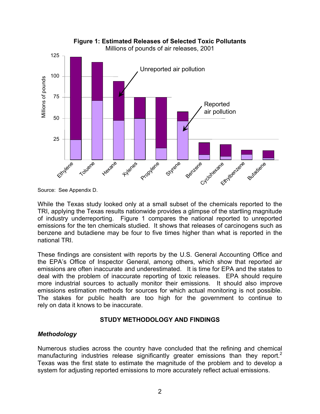

Source: See Appendix D.

While the Texas study looked only at a small subset of the chemicals reported to the TRI, applying the Texas results nationwide provides a glimpse of the startling magnitude of industry underreporting. Figure 1 compares the national reported to unreported emissions for the ten chemicals studied. It shows that releases of carcinogens such as benzene and butadiene may be four to five times higher than what is reported in the national TRI.

These findings are consistent with reports by the U.S. General Accounting Office and the EPA's Office of Inspector General, among others, which show that reported air emissions are often inaccurate and underestimated. It is time for EPA and the states to deal with the problem of inaccurate reporting of toxic releases. EPA should require more industrial sources to actually monitor their emissions. It should also improve emissions estimation methods for sources for which actual monitoring is not possible. The stakes for public health are too high for the government to continue to rely on data it knows to be inaccurate.

### **STUDY METHODOLOGY AND FINDINGS**

### *Methodology*

Numerous studies across the country have concluded that the refining and chemical manufacturing industries release significantly greater emissions than they report.<sup>2</sup> Texas was the first state to estimate the magnitude of the problem and to develop a system for adjusting reported emissions to more accurately reflect actual emissions.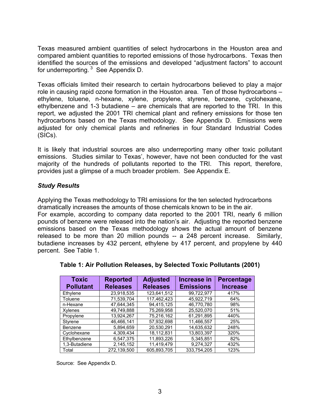Texas measured ambient quantities of select hydrocarbons in the Houston area and compared ambient quantities to reported emissions of those hydrocarbons. Texas then identified the sources of the emissions and developed "adjustment factors" to account for underreporting. <sup>3</sup> See Appendix D.

Texas officials limited their research to certain hydrocarbons believed to play a major role in causing rapid ozone formation in the Houston area. Ten of those hydrocarbons – ethylene, toluene, n-hexane, xylene, propylene, styrene, benzene, cyclohexane, ethylbenzene and 1-3 butadiene – are chemicals that are reported to the TRI. In this report, we adjusted the 2001 TRI chemical plant and refinery emissions for those ten hydrocarbons based on the Texas methodology. See Appendix D. Emissions were adjusted for only chemical plants and refineries in four Standard Industrial Codes (SICs).

It is likely that industrial sources are also underreporting many other toxic pollutant emissions. Studies similar to Texas', however, have not been conducted for the vast majority of the hundreds of pollutants reported to the TRI. This report, therefore, provides just a glimpse of a much broader problem. See Appendix E.

### *Study Results*

Applying the Texas methodology to TRI emissions for the ten selected hydrocarbons dramatically increases the amounts of those chemicals known to be in the air.

For example, according to company data reported to the 2001 TRI, nearly 6 million pounds of benzene were released into the nation's air. Adjusting the reported benzene emissions based on the Texas methodology shows the actual amount of benzene released to be more than 20 million pounds -- a 248 percent increase. Similarly, butadiene increases by 432 percent, ethylene by 417 percent, and propylene by 440 percent. See Table 1.

| <b>Toxic</b>     | <b>Reported</b> | <b>Adjusted</b> | Increase in      | <b>Percentage</b> |
|------------------|-----------------|-----------------|------------------|-------------------|
| <b>Pollutant</b> | <b>Releases</b> | <b>Releases</b> | <b>Emissions</b> | <b>Increase</b>   |
| Ethylene         | 23,918,535      | 123.641.512     | 99.722.977       | 417%              |
| Toluene          | 71.539.704      | 117.462.423     | 45.922.719       | 64%               |
| n-Hexane         | 47,644,345      | 94,415,125      | 46.770.780       | 98%               |
| Xylenes          | 49.749.888      | 75,269,958      | 25.520.070       | 51%               |
| Propylene        | 13,924,267      | 75,216,162      | 61,291,895       | 440%              |
| <b>Styrene</b>   | 46,466,141      | 57,932,698      | 11,466,557       | 25%               |
| Benzene          | 5.894.659       | 20.530.291      | 14.635.632       | 248%              |
| Cyclohexane      | 4,309,434       | 18,112,831      | 13,803,397       | 320%              |
| Ethylbenzene     | 6,547,375       | 11,893,226      | 5,345,851        | 82%               |
| 1,3-Butadiene    | 2,145,152       | 11,419,479      | 9,274,327        | 432%              |
| Total            | 272,139,500     | 605,893,705     | 333,754,205      | 123%              |

| Table 1: Air Pollution Releases, by Selected Toxic Pollutants (2001) |  |  |  |
|----------------------------------------------------------------------|--|--|--|
|                                                                      |  |  |  |

Source: See Appendix D.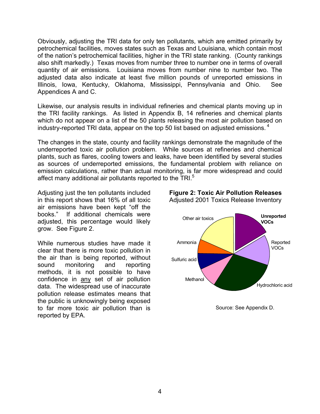Obviously, adjusting the TRI data for only ten pollutants, which are emitted primarily by petrochemical facilities, moves states such as Texas and Louisiana, which contain most of the nation's petrochemical facilities, higher in the TRI state ranking. (County rankings also shift markedly.) Texas moves from number three to number one in terms of overall quantity of air emissions. Louisiana moves from number nine to number two. The adjusted data also indicate at least five million pounds of unreported emissions in Illinois, Iowa, Kentucky, Oklahoma, Mississippi, Pennsylvania and Ohio. See Appendices A and C.

Likewise, our analysis results in individual refineries and chemical plants moving up in the TRI facility rankings. As listed in Appendix B, 14 refineries and chemical plants which do not appear on a list of the 50 plants releasing the most air pollution based on industry-reported TRI data, appear on the top 50 list based on adjusted emissions.<sup>4</sup>

The changes in the state, county and facility rankings demonstrate the magnitude of the underreported toxic air pollution problem. While sources at refineries and chemical plants, such as flares, cooling towers and leaks, have been identified by several studies as sources of underreported emissions, the fundamental problem with reliance on emission calculations, rather than actual monitoring, is far more widespread and could affect many additional air pollutants reported to the TRI.<sup>5</sup>

Adjusting just the ten pollutants included in this report shows that 16% of all toxic air emissions have been kept "off the books." If additional chemicals were adjusted, this percentage would likely grow. See Figure 2.

While numerous studies have made it clear that there is more toxic pollution in the air than is being reported, without sound monitoring and reporting methods, it is not possible to have confidence in any set of air pollution data. The widespread use of inaccurate pollution release estimates means that the public is unknowingly being exposed to far more toxic air pollution than is reported by EPA.

**Figure 2: Toxic Air Pollution Releases**  Adjusted 2001 Toxics Release Inventory



Source: See Appendix D.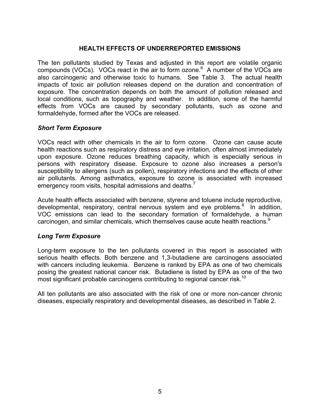### **HEALTH EFFECTS OF UNDERREPORTED EMISSIONS**

The ten pollutants studied by Texas and adjusted in this report are volatile organic compounds (VOCs). VOCs react in the air to form ozone. $6$  A number of the VOCs are also carcinogenic and otherwise toxic to humans. See Table 3. The actual health impacts of toxic air pollution releases depend on the duration and concentration of exposure. The concentration depends on both the amount of pollution released and local conditions, such as topography and weather. In addition, some of the harmful effects from VOCs are caused by secondary pollutants, such as ozone and formaldehyde, formed after the VOCs are released.

### *Short Term Exposure*

VOCs react with other chemicals in the air to form ozone. Ozone can cause acute health reactions such as respiratory distress and eye irritation, often almost immediately upon exposure. Ozone reduces breathing capacity, which is especially serious in persons with respiratory disease. Exposure to ozone also increases a person's susceptibility to allergens (such as pollen), respiratory infections and the effects of other air pollutants. Among asthmatics, exposure to ozone is associated with increased emergency room visits, hospital admissions and deaths.<sup>7</sup>

Acute health effects associated with benzene, styrene and toluene include reproductive, developmental, respiratory, central nervous system and eye problems.<sup>8</sup> In addition, VOC emissions can lead to the secondary formation of formaldehyde, a human carcinogen, and similar chemicals, which themselves cause acute health reactions. $9$ 

### *Long Term Exposure*

Long-term exposure to the ten pollutants covered in this report is associated with serious health effects. Both benzene and 1,3-butadiene are carcinogens associated with cancers including leukemia. Benzene is ranked by EPA as one of two chemicals posing the greatest national cancer risk. Butadiene is listed by EPA as one of the two most significant probable carcinogens contributing to regional cancer risk.<sup>10</sup>

All ten pollutants are also associated with the risk of one or more non-cancer chronic diseases, especially respiratory and developmental diseases, as described in Table 2.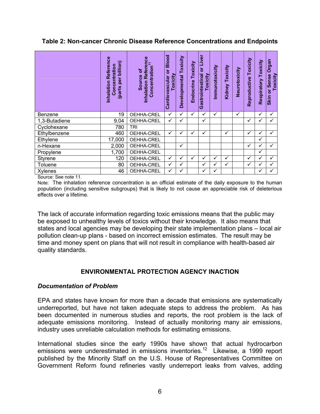**Table 2: Non-cancer Chronic Disease Reference Concentrations and Endpoints** 

|                | Reference<br>billion)<br>Concentration<br>per<br>Inhalation<br>(parts | Reference<br>Concentration <sup>11</sup><br>৳<br><b>Source</b><br>Inhalation | Blood<br>ŏ<br>Toxicity<br>Cardiovascular | Toxicity<br><b>Developmental</b> | <b>Endocrine Toxicity</b> | Liver<br>៦<br>Gastrointestinal<br>Toxicity | Immunotoxicity | Toxicity<br>Kidney | Neurotoxicity | Toxicity<br>Reproductive | Toxicity<br>Respiratory | Organ<br>Toxicity<br><b>Sense</b><br>ŏ<br><b>Skin</b> |
|----------------|-----------------------------------------------------------------------|------------------------------------------------------------------------------|------------------------------------------|----------------------------------|---------------------------|--------------------------------------------|----------------|--------------------|---------------|--------------------------|-------------------------|-------------------------------------------------------|
| Benzene        | 19                                                                    | OEHHA-CREL                                                                   | ✓                                        | $\checkmark$                     | ✓                         | ✓                                          | ✓              |                    | ✓             |                          | ✓                       | $\checkmark$                                          |
| 1,3-Butadiene  | 9.04                                                                  | OEHHA-CREL                                                                   | $\checkmark$                             | ✓                                |                           | ✓                                          |                |                    |               | ✓                        | ✓                       | $\checkmark$                                          |
| Cyclohexane    | 780                                                                   | <b>TRI</b>                                                                   |                                          |                                  |                           |                                            |                |                    |               |                          |                         |                                                       |
| Ethylbenzene   | 460                                                                   | OEHHA-CREL                                                                   | $\checkmark$                             | $\checkmark$                     | ✓                         | ✓                                          |                | ✓                  |               | ✓                        | ✓                       | $\checkmark$                                          |
| Ethylene       | 17,000                                                                | OEHHA-CREL                                                                   |                                          |                                  |                           |                                            |                |                    |               |                          | ✓                       |                                                       |
| n-Hexane       | 2,000                                                                 | OEHHA-CREL                                                                   |                                          | ✓                                |                           |                                            |                |                    |               | ✓                        | $\checkmark$            | $\checkmark$                                          |
| Propylene      | 1,700                                                                 | OEHHA-CREL                                                                   |                                          |                                  |                           |                                            |                |                    |               |                          | $\checkmark$            |                                                       |
| Styrene        | 120                                                                   | OEHHA-CREL                                                                   | ✓                                        | $\checkmark$                     | ✓                         | ✓                                          | ✓              | ✓                  |               | $\checkmark$             | $\checkmark$            | $\checkmark$                                          |
| <b>Toluene</b> | 80                                                                    | OEHHA-CREL                                                                   | $\checkmark$                             | ✓                                |                           | $\checkmark$                               | ✓              | ✓                  |               | ✓                        | $\checkmark$            | $\checkmark$                                          |
| Xylenes        | 46                                                                    | <b>OEHHA-CREL</b>                                                            | ✓                                        | ✓                                |                           | ✓                                          | $\checkmark$   |                    |               |                          | ✓                       | $\checkmark$                                          |

Source: See note 11.

Note: The inhalation reference concentration is an official estimate of the daily exposure to the human population (including sensitive subgroups) that is likely to not cause an appreciable risk of deleterious effects over a lifetime.

The lack of accurate information regarding toxic emissions means that the public may be exposed to unhealthy levels of toxics without their knowledge. It also means that states and local agencies may be developing their state implementation plans – local air pollution clean-up plans - based on incorrect emission estimates. The result may be time and money spent on plans that will not result in compliance with health-based air quality standards.

### **ENVIRONMENTAL PROTECTION AGENCY INACTION**

### *Documentation of Problem*

EPA and states have known for more than a decade that emissions are systematically underreported, but have not taken adequate steps to address the problem. As has been documented in numerous studies and reports, the root problem is the lack of adequate emissions monitoring. Instead of actually monitoring many air emissions, industry uses unreliable calculation methods for estimating emissions.

International studies since the early 1990s have shown that actual hydrocarbon emissions were underestimated in emissions inventories.12 Likewise, a 1999 report published by the Minority Staff on the U.S. House of Representatives Committee on Government Reform found refineries vastly underreport leaks from valves, adding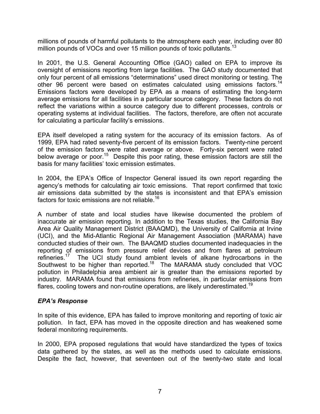millions of pounds of harmful pollutants to the atmosphere each year, including over 80 million pounds of VOCs and over 15 million pounds of toxic pollutants.<sup>13</sup>

In 2001, the U.S. General Accounting Office (GAO) called on EPA to improve its oversight of emissions reporting from large facilities. The GAO study documented that only four percent of all emissions "determinations" used direct monitoring or testing. The other 96 percent were based on estimates calculated using emissions factors.<sup>14</sup> Emissions factors were developed by EPA as a means of estimating the long-term average emissions for all facilities in a particular source category. These factors do not reflect the variations within a source category due to different processes, controls or operating systems at individual facilities. The factors, therefore, are often not accurate for calculating a particular facility's emissions.

EPA itself developed a rating system for the accuracy of its emission factors. As of 1999, EPA had rated seventy-five percent of its emission factors. Twenty-nine percent of the emission factors were rated average or above. Forty-six percent were rated below average or poor.<sup>15</sup> Despite this poor rating, these emission factors are still the basis for many facilities' toxic emission estimates.

In 2004, the EPA's Office of Inspector General issued its own report regarding the agency's methods for calculating air toxic emissions. That report confirmed that toxic air emissions data submitted by the states is inconsistent and that EPA's emission factors for toxic emissions are not reliable.<sup>16</sup>

A number of state and local studies have likewise documented the problem of inaccurate air emission reporting. In addition to the Texas studies, the California Bay Area Air Quality Management District (BAAQMD), the University of California at Irvine (UCI), and the Mid-Atlantic Regional Air Management Association (MARAMA) have conducted studies of their own. The BAAQMD studies documented inadequacies in the reporting of emissions from pressure relief devices and from flares at petroleum refineries.17 The UCI study found ambient levels of alkane hydrocarbons in the Southwest to be higher than reported.<sup>18</sup> The MARAMA study concluded that VOC pollution in Philadelphia area ambient air is greater than the emissions reported by industry. MARAMA found that emissions from refineries, in particular emissions from flares, cooling towers and non-routine operations, are likely underestimated.<sup>19</sup>

### *EPA's Response*

In spite of this evidence, EPA has failed to improve monitoring and reporting of toxic air pollution. In fact, EPA has moved in the opposite direction and has weakened some federal monitoring requirements.

In 2000, EPA proposed regulations that would have standardized the types of toxics data gathered by the states, as well as the methods used to calculate emissions. Despite the fact, however, that seventeen out of the twenty-two state and local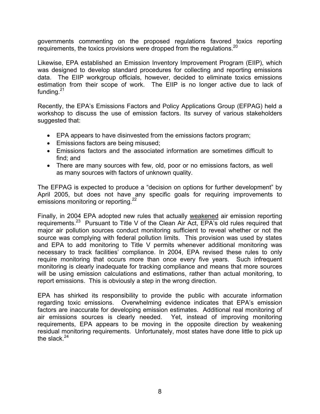governments commenting on the proposed regulations favored toxics reporting requirements, the toxics provisions were dropped from the regulations.<sup>20</sup>

Likewise, EPA established an Emission Inventory Improvement Program (EIIP), which was designed to develop standard procedures for collecting and reporting emissions data. The EIIP workgroup officials, however, decided to eliminate toxics emissions estimation from their scope of work. The EIIP is no longer active due to lack of funding. $21$ 

Recently, the EPA's Emissions Factors and Policy Applications Group (EFPAG) held a workshop to discuss the use of emission factors. Its survey of various stakeholders suggested that:

- EPA appears to have disinvested from the emissions factors program;
- Emissions factors are being misused;
- Emissions factors and the associated information are sometimes difficult to find; and
- There are many sources with few, old, poor or no emissions factors, as well as many sources with factors of unknown quality.

The EFPAG is expected to produce a "decision on options for further development" by April 2005, but does not have any specific goals for requiring improvements to emissions monitoring or reporting.<sup>22</sup>

Finally, in 2004 EPA adopted new rules that actually weakened air emission reporting requirements.<sup>23</sup> Pursuant to Title V of the Clean Air Act, EPA's old rules required that major air pollution sources conduct monitoring sufficient to reveal whether or not the source was complying with federal pollution limits. This provision was used by states and EPA to add monitoring to Title V permits whenever additional monitoring was necessary to track facilities' compliance. In 2004, EPA revised these rules to only require monitoring that occurs more than once every five years. Such infrequent monitoring is clearly inadequate for tracking compliance and means that more sources will be using emission calculations and estimations, rather than actual monitoring, to report emissions. This is obviously a step in the wrong direction.

EPA has shirked its responsibility to provide the public with accurate information regarding toxic emissions. Overwhelming evidence indicates that EPA's emission factors are inaccurate for developing emission estimates. Additional real monitoring of air emissions sources is clearly needed. Yet, instead of improving monitoring requirements, EPA appears to be moving in the opposite direction by weakening residual monitoring requirements. Unfortunately, most states have done little to pick up the slack  $^{24}$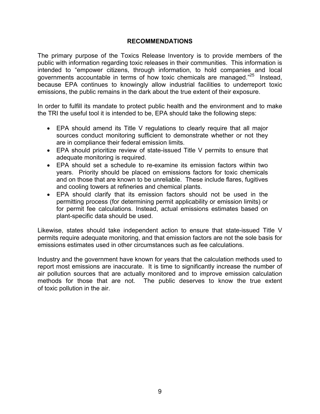### **RECOMMENDATIONS**

The primary purpose of the Toxics Release Inventory is to provide members of the public with information regarding toxic releases in their communities. This information is intended to "empower citizens, through information, to hold companies and local governments accountable in terms of how toxic chemicals are managed.<sup>"25</sup> Instead, because EPA continues to knowingly allow industrial facilities to underreport toxic emissions, the public remains in the dark about the true extent of their exposure.

In order to fulfill its mandate to protect public health and the environment and to make the TRI the useful tool it is intended to be, EPA should take the following steps:

- EPA should amend its Title V regulations to clearly require that all major sources conduct monitoring sufficient to demonstrate whether or not they are in compliance their federal emission limits.
- EPA should prioritize review of state-issued Title V permits to ensure that adequate monitoring is required.
- EPA should set a schedule to re-examine its emission factors within two years. Priority should be placed on emissions factors for toxic chemicals and on those that are known to be unreliable. These include flares, fugitives and cooling towers at refineries and chemical plants.
- EPA should clarify that its emission factors should not be used in the permitting process (for determining permit applicability or emission limits) or for permit fee calculations. Instead, actual emissions estimates based on plant-specific data should be used.

Likewise, states should take independent action to ensure that state-issued Title V permits require adequate monitoring, and that emission factors are not the sole basis for emissions estimates used in other circumstances such as fee calculations.

Industry and the government have known for years that the calculation methods used to report most emissions are inaccurate. It is time to significantly increase the number of air pollution sources that are actually monitored and to improve emission calculation methods for those that are not. The public deserves to know the true extent of toxic pollution in the air.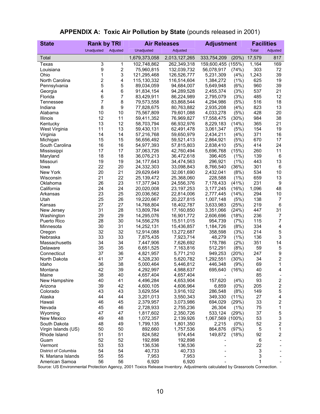| <b>Unadjusted</b><br>Adjusted<br>Unadjusted<br>Adjusted<br><b>Total</b><br>Adjusted<br>17,579<br>(20%)<br>Total<br>1,679,373,058<br>2,013,127,265<br>333,754,209<br>3<br>1<br>159,600,455<br>(155%)<br>1,164<br>Texas<br>102,748,862<br>262,349,318<br>9<br>2<br>(74%)<br>303<br>Louisiana<br>75,960,815<br>132,039,732<br>56,078,917<br>3<br>1<br>1,243<br>Ohio<br>121,295,468<br>126,526,777<br>5,231,309<br>(4%)<br>2<br>4<br>(1%)<br>625<br>North Carolina<br>115,130,332<br>116,514,604<br>1,384,272<br>5<br>5<br>89,034,059<br>(6%)<br>960<br>Pennsylvania<br>94,684,007<br>5,649,948<br>4<br>$\,6$<br>(3%)<br>537<br>91,834,154<br>94,289,528<br>2,455,374<br>Georgia | 817<br>169<br>72<br>39<br>19<br>39<br>21<br>12<br>18<br>13<br>20<br>38<br>21<br>19<br>16 |
|------------------------------------------------------------------------------------------------------------------------------------------------------------------------------------------------------------------------------------------------------------------------------------------------------------------------------------------------------------------------------------------------------------------------------------------------------------------------------------------------------------------------------------------------------------------------------------------------------------------------------------------------------------------------------|------------------------------------------------------------------------------------------|
|                                                                                                                                                                                                                                                                                                                                                                                                                                                                                                                                                                                                                                                                              |                                                                                          |
|                                                                                                                                                                                                                                                                                                                                                                                                                                                                                                                                                                                                                                                                              |                                                                                          |
|                                                                                                                                                                                                                                                                                                                                                                                                                                                                                                                                                                                                                                                                              |                                                                                          |
|                                                                                                                                                                                                                                                                                                                                                                                                                                                                                                                                                                                                                                                                              |                                                                                          |
|                                                                                                                                                                                                                                                                                                                                                                                                                                                                                                                                                                                                                                                                              |                                                                                          |
|                                                                                                                                                                                                                                                                                                                                                                                                                                                                                                                                                                                                                                                                              |                                                                                          |
|                                                                                                                                                                                                                                                                                                                                                                                                                                                                                                                                                                                                                                                                              |                                                                                          |
|                                                                                                                                                                                                                                                                                                                                                                                                                                                                                                                                                                                                                                                                              |                                                                                          |
| $\overline{7}$<br>6<br>(3%)<br>485<br>Florida<br>83,429,911<br>86,224,989<br>2,795,079                                                                                                                                                                                                                                                                                                                                                                                                                                                                                                                                                                                       |                                                                                          |
| 7<br>8<br>(5%)<br>516<br>Tennessee<br>79,573,558<br>83,868,544<br>4,294,986                                                                                                                                                                                                                                                                                                                                                                                                                                                                                                                                                                                                  |                                                                                          |
| 8<br>$\boldsymbol{9}$<br>(4%)<br>823<br>Indiana<br>77,828,675<br>80,763,882<br>2,935,208                                                                                                                                                                                                                                                                                                                                                                                                                                                                                                                                                                                     |                                                                                          |
| 10<br>10<br>(5%)<br>428<br>Alabama<br>79,601,088<br>4,033,278<br>75,567,809                                                                                                                                                                                                                                                                                                                                                                                                                                                                                                                                                                                                  |                                                                                          |
| 12<br>11<br>(30%)<br>984<br>Illinois<br>59,411,352<br>76,969,827<br>17,558,475                                                                                                                                                                                                                                                                                                                                                                                                                                                                                                                                                                                               |                                                                                          |
| 13<br>12<br>58,703,794<br>66,932,976<br>(14%)<br>365<br>Kentucky<br>8,229,183                                                                                                                                                                                                                                                                                                                                                                                                                                                                                                                                                                                                |                                                                                          |
| 13<br>11<br>West Virginia<br>59,430,131<br>62,491,478<br>3,061,347<br>(5%)<br>154                                                                                                                                                                                                                                                                                                                                                                                                                                                                                                                                                                                            |                                                                                          |
| 14<br>14<br>(4%)<br>371<br>57,216,768<br>59,650,979<br>2,434,211<br>Virginia                                                                                                                                                                                                                                                                                                                                                                                                                                                                                                                                                                                                 |                                                                                          |
| 15<br>15<br>670<br>Michigan<br>56,656,492<br>59,521,413<br>2,864,921<br>(5%)                                                                                                                                                                                                                                                                                                                                                                                                                                                                                                                                                                                                 | 17                                                                                       |
| 16<br>16<br>South Carolina<br>54,977,393<br>(5%)<br>414<br>57,815,803<br>2,838,410                                                                                                                                                                                                                                                                                                                                                                                                                                                                                                                                                                                           | 24                                                                                       |
| 17<br>17<br>260<br>42,760,494<br>(15%)<br>Mississippi<br>37,063,726<br>5,696,768                                                                                                                                                                                                                                                                                                                                                                                                                                                                                                                                                                                             | 11                                                                                       |
| 18<br>18<br>(1%)<br>139<br>36,076,213<br>36,472,618<br>396,405<br>Maryland                                                                                                                                                                                                                                                                                                                                                                                                                                                                                                                                                                                                   | 6                                                                                        |
| 19<br>19<br>(1%)<br>Missouri<br>296,921<br>443<br>34,177,643<br>34,474,563<br>22<br>20<br>(36%)<br>301                                                                                                                                                                                                                                                                                                                                                                                                                                                                                                                                                                       | 13<br>6                                                                                  |
| 8,766,540<br>24,332,303<br>33,098,843<br>lowa<br>20<br>21<br>(8%)<br>534<br>New York                                                                                                                                                                                                                                                                                                                                                                                                                                                                                                                                                                                         | 10                                                                                       |
| 29,629,649<br>32,061,690<br>2,432,041<br>21<br>22<br>(1%)<br>25,139,472<br>25,368,060<br>228,588<br>659<br>Wisconsin                                                                                                                                                                                                                                                                                                                                                                                                                                                                                                                                                         | 13                                                                                       |
| 26<br>23<br>231<br>Oklahoma<br>17,377,943<br>24,556,376<br>7,178,433<br>(41%)                                                                                                                                                                                                                                                                                                                                                                                                                                                                                                                                                                                                | 9                                                                                        |
| 24<br>24<br>1,096<br>California<br>20,020,008<br>23, 197, 253<br>3,177,245<br>(16%)                                                                                                                                                                                                                                                                                                                                                                                                                                                                                                                                                                                          | 48                                                                                       |
| 23<br>25<br>294<br>Arkansas<br>20,036,562<br>22,814,006<br>2,777,445<br>(14%)                                                                                                                                                                                                                                                                                                                                                                                                                                                                                                                                                                                                | 10                                                                                       |
| 25<br>26<br>(5%)<br>138<br>Utah<br>19,220,667<br>20,227,815<br>1,007,148                                                                                                                                                                                                                                                                                                                                                                                                                                                                                                                                                                                                     | $\overline{7}$                                                                           |
| 27<br>27<br>(25%)<br>219<br>Kansas<br>14,768,804<br>18,402,787<br>3,633,983                                                                                                                                                                                                                                                                                                                                                                                                                                                                                                                                                                                                  | 6                                                                                        |
| 31<br>28<br>New Jersey<br>13,809,784<br>17,160,850<br>(24%)<br>447<br>3,351,066                                                                                                                                                                                                                                                                                                                                                                                                                                                                                                                                                                                              | 31                                                                                       |
| 29<br>29<br>(18%)<br>236<br>14,295,076<br>16,901,772<br>2,606,696<br>Washington                                                                                                                                                                                                                                                                                                                                                                                                                                                                                                                                                                                              | $\overline{7}$                                                                           |
| 30<br>28<br>14,556,276<br>(7%)<br>115<br>Puerto Rico<br>15,511,015<br>954,739                                                                                                                                                                                                                                                                                                                                                                                                                                                                                                                                                                                                | 7                                                                                        |
| 31<br>30<br>(8%)<br>334<br>Minnesota<br>14,252,131<br>15,436,857<br>1,184,726                                                                                                                                                                                                                                                                                                                                                                                                                                                                                                                                                                                                | 4                                                                                        |
| 32<br>32<br>(3%)<br>214<br>12,914,088<br>13,272,687<br>358,598<br>Oregon                                                                                                                                                                                                                                                                                                                                                                                                                                                                                                                                                                                                     | $\mathbf 5$                                                                              |
| 33<br>33<br>(1%)<br>Nebraska<br>7,875,435<br>7,923,714<br>48,279<br>136                                                                                                                                                                                                                                                                                                                                                                                                                                                                                                                                                                                                      | 3                                                                                        |
| 34<br>34<br>(2%)<br>351<br>Massachusetts<br>7,447,906<br>7,626,692<br>178,786                                                                                                                                                                                                                                                                                                                                                                                                                                                                                                                                                                                                | 14                                                                                       |
| 35<br>35<br>59<br>6,651,525<br>7,163,816<br>512,291<br>(8%)<br>Delaware                                                                                                                                                                                                                                                                                                                                                                                                                                                                                                                                                                                                      | $\mathbf 5$                                                                              |
| 37<br>36<br>(20%)<br>247<br>Connecticut<br>4,821,957<br>5,771,210<br>949,253                                                                                                                                                                                                                                                                                                                                                                                                                                                                                                                                                                                                 | $\boldsymbol{9}$                                                                         |
| 37<br>41<br>34<br>North Dakota<br>5,620,782<br>1,292,551<br>(30%)<br>4,328,230                                                                                                                                                                                                                                                                                                                                                                                                                                                                                                                                                                                               | $\overline{\mathbf{c}}$                                                                  |
| 36<br>38<br>69<br>Idaho<br>5,446,812<br>(9%)<br>5,000,464<br>446,348                                                                                                                                                                                                                                                                                                                                                                                                                                                                                                                                                                                                         | 1                                                                                        |
| 39<br>42<br>40<br>Montana<br>4,292,997<br>4,988,637<br>(16%)<br>695,640                                                                                                                                                                                                                                                                                                                                                                                                                                                                                                                                                                                                      | 4                                                                                        |
| 38<br>85<br>40<br>4,657,404<br>4,657,404<br>Maine                                                                                                                                                                                                                                                                                                                                                                                                                                                                                                                                                                                                                            |                                                                                          |
| (4% )<br>40<br>41<br>4,496,284<br>4,653,904<br>157,620<br>93<br>New Hampshire                                                                                                                                                                                                                                                                                                                                                                                                                                                                                                                                                                                                | 2                                                                                        |
| 39<br>42<br>4,600,105<br>4,606,964<br>6,859<br>(0%)<br>205<br>Arizona                                                                                                                                                                                                                                                                                                                                                                                                                                                                                                                                                                                                        | $\overline{\mathbf{c}}$                                                                  |
| 43<br>43<br>(8%)<br>Colorado<br>3,629,554<br>3,916,102<br>286,548<br>149                                                                                                                                                                                                                                                                                                                                                                                                                                                                                                                                                                                                     | $\mathbf 5$                                                                              |
| 44<br>44<br>$(11\%)$<br>Alaska<br>3,201,013<br>3,550,343<br>349,330<br>27                                                                                                                                                                                                                                                                                                                                                                                                                                                                                                                                                                                                    | 4                                                                                        |
| 46<br>45<br>2,379,957<br>3,073,986<br>(29%)<br>33<br>Hawaii<br>694,029                                                                                                                                                                                                                                                                                                                                                                                                                                                                                                                                                                                                       | $\overline{\mathbf{c}}$                                                                  |
| 45<br>46<br>75<br>Nevada<br>2,728,933<br>2,755,236<br>26,304<br>(1%)                                                                                                                                                                                                                                                                                                                                                                                                                                                                                                                                                                                                         | 1                                                                                        |
| 47<br>(29%)<br>37<br>47<br>533,124<br>Wyoming<br>1,817,602<br>2,350,726                                                                                                                                                                                                                                                                                                                                                                                                                                                                                                                                                                                                      | 5                                                                                        |
| 49<br>48<br>53<br>New Mexico<br>1,072,357<br>2,139,926<br>1,067,569<br>$(100\%)$                                                                                                                                                                                                                                                                                                                                                                                                                                                                                                                                                                                             | 3                                                                                        |
| 49<br>52<br>48<br>South Dakota<br>1,799,135<br>1,801,350<br>2,215<br>$(0\%)$                                                                                                                                                                                                                                                                                                                                                                                                                                                                                                                                                                                                 | $\overline{\mathbf{c}}$                                                                  |
| 50<br>50<br>5<br>892,660<br>1,757,536<br>864,876<br>(97%)<br>Virgin Islands (US)                                                                                                                                                                                                                                                                                                                                                                                                                                                                                                                                                                                             | $\mathbf{1}$                                                                             |
| 51<br>51<br>824,582<br>(18%)<br>92<br>Rhode Island<br>974,454<br>149,872<br>52<br>52<br>192,898<br>192,898<br>6<br>Guam                                                                                                                                                                                                                                                                                                                                                                                                                                                                                                                                                      | $\overline{\mathbf{c}}$                                                                  |
| 53<br>53<br>22<br>Vermont<br>136,536<br>136,536                                                                                                                                                                                                                                                                                                                                                                                                                                                                                                                                                                                                                              |                                                                                          |
| 54<br>3<br>District of Columbia<br>54<br>40,733<br>40,733                                                                                                                                                                                                                                                                                                                                                                                                                                                                                                                                                                                                                    |                                                                                          |
| 3<br>N. Mariana Islands<br>55<br>55<br>7,953<br>7,953                                                                                                                                                                                                                                                                                                                                                                                                                                                                                                                                                                                                                        |                                                                                          |
| 6,920<br>1<br>American Samoa<br>56<br>56<br>6,920                                                                                                                                                                                                                                                                                                                                                                                                                                                                                                                                                                                                                            |                                                                                          |

### **APPENDIX A: Toxic Air Pollution by State** (pounds released in 2001)

Source: US Environmental Protection Agency, 2001 Toxics Release Inventory. Adjustments calculated by Grassroots Connection.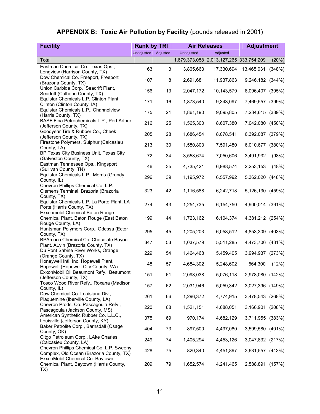# **APPENDIX B: Toxic Air Pollution by Facility** (pounds released in 2001)

| <b>Facility</b>                                                                       | <b>Rank by TRI</b>  |    |            | <b>Air Releases</b>                     | <b>Adjustment</b> |        |
|---------------------------------------------------------------------------------------|---------------------|----|------------|-----------------------------------------|-------------------|--------|
|                                                                                       | Unadjusted Adjusted |    | Unadjusted | Adjusted                                |                   |        |
| Total                                                                                 |                     |    |            | 1,679,373,058 2,013,127,265 333,754,209 |                   | (20%)  |
| Eastman Chemical Co. Texas Ops.,                                                      | 63                  | 3  | 3,865,663  | 17,330,694                              | 13,465,031        | (348%) |
| Longview (Harrison County, TX)                                                        |                     |    |            |                                         |                   |        |
| Dow Chemical Co. Freeport, Freeport                                                   | 107                 | 8  | 2,691,681  | 11,937,863                              | 9,246,182 (344%)  |        |
| (Brazoria County, TX)<br>Union Carbide Corp. Seadrift Plant,                          |                     |    |            |                                         |                   |        |
| Seadrift (Calhoun County, TX)                                                         | 156                 | 13 | 2,047,172  | 10,143,579                              | 8,096,407 (395%)  |        |
| Equistar Chemicals L.P. Clinton Plant,                                                |                     |    |            |                                         |                   |        |
| Clinton (Clinton County, IA)                                                          | 171                 | 16 | 1,873,540  | 9,343,097                               | 7,469,557 (399%)  |        |
| Equistar Chemicals L.P., Channelview                                                  | 175                 | 21 | 1,861,190  | 9,095,805                               | 7,234,615 (389%)  |        |
| (Harris County, TX)<br>BASF Fina Petrochemicals L.P., Port Arthur                     |                     |    |            |                                         |                   |        |
| (Jefferson County, TX)                                                                | 216                 | 25 | 1,565,300  | 8,607,380                               | 7,042,080         | (450%) |
| Goodyear Tire & Rubber Co., Cheek                                                     |                     |    |            |                                         |                   |        |
| (Jefferson County, TX)                                                                | 205                 | 28 | 1,686,454  | 8,078,541                               | 6,392,087 (379%)  |        |
| Firestone Polymers, Sulphur (Calcasieu                                                | 213                 | 30 | 1,580,803  | 7,591,480                               | 6,010,677 (380%)  |        |
| County, LA)                                                                           |                     |    |            |                                         |                   |        |
| BP Texas City Business Unit, Texas City<br>(Galveston County, TX)                     | 72                  | 34 | 3,558,674  | 7,050,606                               | 3,491,932         | (98%)  |
| Eastman Tennessee Ops., Kingsport                                                     |                     |    |            |                                         |                   |        |
| (Sullivan County, TN)                                                                 | 46                  | 35 | 4,735,421  | 6,988,574                               | 2,253,153         | (48%)  |
| Equistar Chemicals L.P., Morris (Grundy                                               | 296                 |    |            |                                         |                   |        |
| County, IL)                                                                           |                     | 39 | 1,195,972  | 6,557,992                               | 5,362,020         | (448%) |
| Chevron Phillips Chemical Co. L.P.                                                    |                     |    |            |                                         |                   |        |
| Clemens Terminal, Brazoria (Brazoria                                                  | 323                 | 42 | 1,116,588  | 6,242,718                               | 5,126,130 (459%)  |        |
| County, TX)<br>Equistar Chemicals L.P. La Porte Plant, LA                             |                     |    |            |                                         |                   |        |
| Porte (Harris County, TX)                                                             | 274                 | 43 | 1,254,735  | 6,154,750                               | 4,900,014 (391%)  |        |
| Exxonmobil Chemical Baton Rouge                                                       |                     |    |            |                                         |                   |        |
| Chemical Plant, Baton Rouge (East Baton                                               | 199                 | 44 | 1,723,162  | 6,104,374                               | 4,381,212 (254%)  |        |
| Rouge County, LA)                                                                     |                     |    |            |                                         |                   |        |
| Huntsman Polymers Corp., Odessa (Ector                                                | 295                 | 45 | 1,205,203  | 6,058,512                               | 4,853,309 (403%)  |        |
| County, TX)<br>BPAmoco Chemical Co. Chocolate Bayou                                   |                     |    |            |                                         |                   |        |
| Plant, ALvin (Brazoria County, TX)                                                    | 347                 | 53 | 1,037,579  | 5,511,285                               | 4,473,706         | (431%) |
| Du Pont Sabine River Works, Orange                                                    | 229                 | 54 | 1,464,468  | 5,459,405                               | 3,994,937         | (273%) |
| (Orange County, TX)                                                                   |                     |    |            |                                         |                   |        |
| Honeywell Intl. Inc. Hopewell Plant,                                                  | 48                  | 57 | 4,684,302  | 5,248,602                               | 564,300           | (12%)  |
| Hopewell (Hopewell City County, VA)<br>ExxonMobil Oil Beaumont Refy., Beaumont        |                     |    |            |                                         |                   |        |
| (Jefferson County, TX)                                                                | 151                 | 61 | 2,098,038  | 5,076,118                               | 2,978,080 (142%)  |        |
| Tosco Wood River Refy., Roxana (Madison                                               |                     |    |            |                                         |                   |        |
| County, IL)                                                                           | 157                 | 62 | 2,031,946  | 5,059,342                               | 3,027,396 (149%)  |        |
| Dow Chemical Co. Louisiana Div.,                                                      | 261                 | 66 | 1,296,372  | 4,774,915                               | 3,478,543 (268%)  |        |
| Plaquemine (Iberville County, LA)                                                     |                     |    |            |                                         |                   |        |
| Chevron Prods. Co. Pascagoula Refy.,<br>Pascagoula (Jackson County, MS)               | 220                 | 68 | 1,521,151  | 4,688,051                               | 3,166,901 (208%)  |        |
| American Synthetic Rubber Co. L.L.C.,                                                 |                     |    |            |                                         |                   |        |
| Louisville (Jefferson County, KY)                                                     | 375                 | 69 | 970,174    | 4,682,129                               | 3,711,955 (383%)  |        |
| Baker Petrolite Corp., Barnsdall (Osage                                               | 404                 | 73 | 897,500    | 4,497,080                               | 3,599,580 (401%)  |        |
| County, OK)                                                                           |                     |    |            |                                         |                   |        |
| Citgo Petroleum Corp., LAke Charles                                                   | 249                 | 74 | 1,405,294  | 4,453,126                               | 3,047,832 (217%)  |        |
| (Calcasieu County, LA)                                                                |                     |    |            |                                         |                   |        |
| Chevron Phillips Chemical Co. L.P. Sweeny<br>Complex, Old Ocean (Brazoria County, TX) | 428                 | 75 | 820,340    | 4,451,897                               | 3,631,557 (443%)  |        |
| ExxonMobil Chemical Co. Baytown                                                       |                     |    |            |                                         |                   |        |
| Chemical Plant, Baytown (Harris County,                                               | 209                 | 79 | 1,652,574  | 4,241,465                               | 2,588,891         | (157%) |
| TX)                                                                                   |                     |    |            |                                         |                   |        |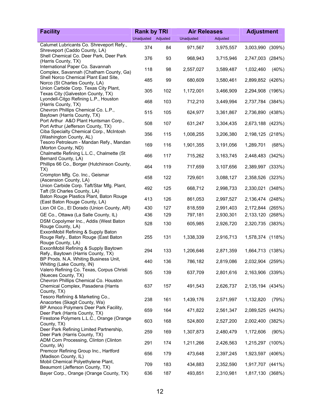| <b>Facility</b>                                                                                 | <b>Rank by TRI</b>  |     | <b>Air Releases</b> |           | <b>Adjustment</b> |          |
|-------------------------------------------------------------------------------------------------|---------------------|-----|---------------------|-----------|-------------------|----------|
|                                                                                                 | Unadjusted Adjusted |     | Unadjusted          | Adjusted  |                   |          |
| Calumet Lubricants Co. Shreveport Refy.,<br>Shreveport (Caddo County, LA)                       | 374                 | 84  | 971,567             | 3,975,557 | 3,003,990         | (309%)   |
| Shell Chemical Co. Deer Park, Deer Park<br>(Harris County, TX)                                  | 376                 | 93  | 968,943             | 3,715,946 | 2,747,003         | (284%)   |
| International Paper Co. Savannah<br>Complex, Savannah (Chatham County, Ga)                      | 118                 | 98  | 2,557,027           | 3,589,487 | 1,032,460         | (40%)    |
| Shell Norco Chemical Plant East Site,<br>Norco (St Charles County, LA)                          | 485                 | 99  | 680,609             | 3,580,461 | 2,899,852 (426%)  |          |
| Union Carbide Corp. Texas City Plant,<br>Texas City (Galveston County, TX)                      | 305                 | 102 | 1,172,001           | 3,466,909 | 2,294,908 (196%)  |          |
| Lyondell-Citgo Refining L.P., Houston<br>(Harris County, TX)                                    | 468                 | 103 | 712,210             | 3,449,994 | 2,737,784 (384%)  |          |
| Chevron Phillips Chemical Co. L.P.,<br>Baytown (Harris County, TX)                              | 515                 | 105 | 624,977             | 3,361,867 | 2,736,890 (438%)  |          |
| Port Arthur A&O Plant Huntsman Corp.,<br>Port Arthur (Jefferson County, TX)                     | 508                 | 107 | 631,247             | 3,304,435 | 2,673,188 (423%)  |          |
| Ciba Specialty Chemical Corp., McIntosh<br>(Washington County, AL)                              | 356                 | 115 | 1,008,255           | 3,206,380 | 2,198,125 (218%)  |          |
| Tesoro Petroleum - Mandan Refy., Mandan<br>(Morton County, ND)                                  | 169                 | 116 | 1,901,355           | 3,191,056 | 1,289,701         | (68%)    |
| Chalmette Refining L.L.C., Chalmette (St<br>Bernard County, LA)                                 | 466                 | 117 | 715,262             | 3,163,745 | 2,448,483         | (342%)   |
| Phillips 66 Co., Borger (Hutchinson County,<br>TX)                                              | 464                 | 119 | 717,659             | 3,107,656 | 2,389,997 (333%)  |          |
| Crompton Mfg. Co. Inc., Geismar<br>(Ascension County, LA)                                       | 458                 | 122 | 729,601             | 3,088,127 | 2,358,526         | (323%)   |
| Union Carbide Corp. Taft/Star Mfg. Plant,<br>Taft (St Charles County, LA)                       | 492                 | 125 | 668,712             | 2,998,733 | 2,330,021 (348%)  |          |
| Baton Rouge Plastics Plant, Baton Rouge<br>(East Baton Rouge County, LA)                        | 413                 | 126 | 861,053             | 2,997,527 | 2,136,474 (248%)  |          |
| Lion Oil Co., El Dorado (Union County, AR)                                                      | 430                 | 127 | 818,559             | 2,991,403 | 2,172,844 (265%)  |          |
| GE Co., Ottawa (La Salle County, IL)                                                            | 436                 | 129 | 797,181             | 2,930,301 | 2,133,120         | (268%)   |
| DSM Copolymer Inc., Addis (West Baton<br>Rouge County, LA)                                      | 528                 | 130 | 605,985             | 2,926,720 | 2,320,735 (383%)  |          |
| ExxonMobil Refining & Supply Baton<br>Rouge Refy., Baton Rouge (East Baton<br>Rouge County, LA) | 255                 | 131 | 1,338,339           | 2,916,713 | 1,578,374 (118%)  |          |
| ExxonMobil Refining & Supply Baytown<br>Refy., Baytown (Harris County, TX)                      | 294                 | 133 | 1,206,646           | 2,871,359 | 1,664,713 (138%)  |          |
| BP Prods. N.A. Whiting Business Unit,<br>Whiting (Lake County, IN)                              | 440                 | 136 | 786,182             | 2,819,086 | 2,032,904 (259%)  |          |
| Valero Refining Co. Texas, Corpus Christi<br>(Nueces County, TX)                                | 505                 | 139 | 637,709             | 2,801,616 | 2,163,906 (339%)  |          |
| Chevron Phillips Chemical Co. Houston<br>Chemical Complex, Pasadena (Harris                     | 637                 | 157 | 491,543             | 2,626,737 | 2,135,194 (434%)  |          |
| County, TX)<br>Tesoro Refining & Marketing Co.,<br>Anacortes (Skagit County, Wa)                | 238                 | 161 | 1,439,176           | 2,571,997 | 1,132,820         | (79%)    |
| BP Amoco Polymers Deer Park Facility,<br>Deer Park (Harris County, TX)                          | 659                 | 164 | 471,822             | 2,561,347 | 2,089,525         | (443%)   |
| Firestone Polymers L.L.C., Orange (Orange<br>County, TX)                                        | 603                 | 168 | 524,800             | 2,527,200 | 2,002,400         | (382%)   |
| Deer Park Refining Limited Partnership,<br>Deer Park (Harris County, TX)                        | 259                 | 169 | 1,307,873           | 2,480,479 | 1,172,606         | $(90\%)$ |
| ADM Corn Processing, Clinton (Clinton                                                           | 291                 | 174 | 1,211,266           | 2,426,563 | 1,215,297 (100%)  |          |
| County, IA)<br>Premcor Refining Group Inc., Hartford<br>(Madison County, IL)                    | 656                 | 179 | 473,648             | 2,397,245 | 1,923,597 (406%)  |          |
| Mobil Chemical Polyethylene Plant,<br>Beaumont (Jefferson County, TX)                           | 709                 | 183 | 434,883             | 2,352,590 | 1,917,707 (441%)  |          |
| Bayer Corp., Orange (Orange County, TX)                                                         | 636                 | 187 | 493,851             | 2,310,981 | 1,817,130 (368%)  |          |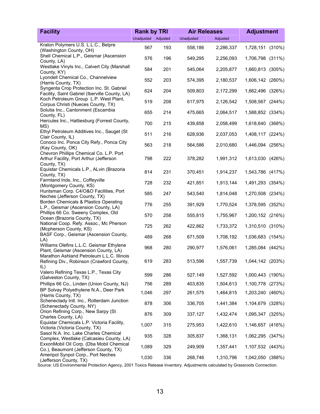| <b>Facility</b>                                                                                   | <b>Rank by TRI</b>  |     | <b>Air Releases</b> |           | <b>Adjustment</b> |  |
|---------------------------------------------------------------------------------------------------|---------------------|-----|---------------------|-----------|-------------------|--|
|                                                                                                   | Unadjusted Adjusted |     | Unadjusted          | Adjusted  |                   |  |
| Kraton Polymers U.S. L.L.C., Belpre<br>(Washington County, OH)                                    | 567                 | 193 | 558,186             | 2,286,337 | 1,728,151 (310%)  |  |
| Shell Chemical L.P., Geismar (Ascension<br>County, LA)                                            | 576                 | 196 | 549,295             | 2,256,093 | 1,706,798 (311%)  |  |
| Westlake Vinyls Inc., Calvert City (Marshall<br>County, KY)                                       | 584                 | 201 | 545,064             | 2,205,877 | 1,660,813 (305%)  |  |
| Lyondell Chemical Co., Channelview<br>(Harris County, TX)                                         | 552                 | 203 | 574,395             | 2,180,537 | 1,606,142 (280%)  |  |
| Syngenta Crop Protection Inc. St. Gabriel<br>Facility, Saint Gabriel (Iberville County, LA)       | 624                 | 204 | 509,803             | 2,172,299 | 1,662,496 (326%)  |  |
| Koch Petroleum Group L.P. West Plant,<br>Corpus Christi (Nueces County, TX)                       | 519                 | 208 | 617,975             | 2,126,542 | 1,508,567 (244%)  |  |
| Solutia Inc., Cantonment (Escambia<br>County, FL)                                                 | 655                 | 214 | 475,665             | 2,064,517 | 1,588,852 (334%)  |  |
| Hercules Inc., Hattiesburg (Forrest County,<br>MS)                                                | 700                 | 215 | 439,858             | 2,058,499 | 1,618,640 (368%)  |  |
| Ethyl Petroleum Additives Inc., Sauget (St<br>Clair County, IL)                                   | 511                 | 216 | 628,936             | 2,037,053 | 1,408,117 (224%)  |  |
| Conoco Inc. Ponca City Refy., Ponca City<br>(Kay County, OK)                                      | 563                 | 218 | 564,586             | 2,010,680 | 1,446,094 (256%)  |  |
| Chevron Phillips Chemical Co. L.P. Port<br>Arthur Facility, Port Arthur (Jefferson<br>County, TX) | 798                 | 222 | 378,282             | 1,991,312 | 1,613,030 (426%)  |  |
| Equistar Chemicals L.P., ALvin (Brazoria<br>County, TX)                                           | 814                 | 231 | 370,451             | 1,914,237 | 1,543,786 (417%)  |  |
| Farmland Inds. Inc., Coffeyville<br>(Montgomery County, KS)                                       | 728                 | 232 | 421,851             | 1,913,144 | 1,491,293 (354%)  |  |
| Huntsman Corp. C4/O&O Facilities, Port<br>Neches (Jefferson County, TX)                           | 585                 | 247 | 543,540             | 1,814,048 | 1,270,508 (234%)  |  |
| Borden Chemicals & Plastics Operating<br>L.P., Geismar (Ascension County, LA)                     | 776                 | 255 | 391,929             | 1,770,524 | 1,378,595 (352%)  |  |
| Phillips 66 Co. Sweeny Complex, Old<br>Ocean (Brazoria County, TX)                                | 570                 | 258 | 555,815             | 1,755,967 | 1,200,152 (216%)  |  |
| National Coop. Refy. Assoc., Mc Pherson<br>(Mcpherson County, KS)                                 | 725                 | 262 | 422,862             | 1,733,372 | 1,310,510 (310%)  |  |
| BASF Corp., Geismar (Ascension County,<br>LA)                                                     | 489                 | 268 | 671,509             | 1,708,192 | 1,036,683 (154%)  |  |
| Williams Olefins L.L.C. Geismar Ethylene<br>Plant, Geismar (Ascension County, LA)                 | 968                 | 280 | 290,977             | 1,576,061 | 1,285,084 (442%)  |  |
| Marathon Ashland Petroleum L.L.C. Illinois                                                        |                     |     |                     |           |                   |  |
| Refining Div., Robinson (Crawford County,<br>IL)                                                  | 619                 | 283 | 513,596             | 1,557,739 | 1,044,142 (203%)  |  |
| Valero Refining Texas L.P., Texas City<br>(Galveston County, TX)                                  | 599                 | 286 | 527,149             | 1,527,592 | 1,000,443 (190%)  |  |
| Phillips 66 Co., Linden (Union County, NJ)                                                        | 756                 | 289 | 403,835             | 1,504,613 | 1,100,778 (273%)  |  |
| BP Solvay Polyethylene N.A., Deer Park<br>(Harris County, TX)                                     | 1,046               | 297 | 261,575             | 1,464,815 | 1,203,240 (460%)  |  |
| Schenectady Intl. Inc., Rotterdam Junction<br>(Schenectady County, NY)                            | 878                 | 306 | 336,705             | 1,441,384 | 1,104,679 (328%)  |  |
| Orion Refining Corp., New Sarpy (St<br>Charles County, LA)                                        | 876                 | 309 | 337,127             | 1,432,474 | 1,095,347 (325%)  |  |
| Equistar Chemicals L.P. Victoria Facility,<br>Victoria (Victoria County, TX)                      | 1,007               | 315 | 275,953             | 1,422,610 | 1,146,657 (416%)  |  |
| Sasol N.A. Inc. Lake Charles Chemical<br>Complex, Westlake (Calcasieu County, LA)                 | 935                 | 328 | 305,837             | 1,368,131 | 1,062,295 (347%)  |  |
| ExxonMobil Oil Corp. (Dba Mobil Chemical<br>Co.), Beaumont (Jefferson County, TX)                 | 1,089               | 329 | 249,909             | 1,357,441 | 1,107,532 (443%)  |  |
| Ameripol Synpol Corp., Port Neches<br>(Jefferson County, TX)                                      | 1,030               | 336 | 268,746             | 1,310,796 | 1,042,050 (388%)  |  |

Source: US Environmental Protection Agency, 2001 Toxics Release Inventory. Adjustments calculated by Grassroots Connection.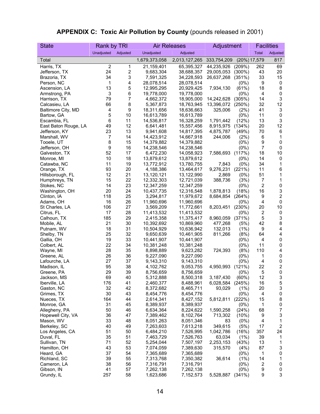| <b>State</b>                 | Rank by TRI               |                |                         | <b>Air Releases</b>      | Adjustment  |                |                               | <b>Facilities</b>                           |
|------------------------------|---------------------------|----------------|-------------------------|--------------------------|-------------|----------------|-------------------------------|---------------------------------------------|
|                              | Unadjusted                | Adjusted       | Unadjusted              | Adjusted                 |             |                | <b>Total</b>                  | Adjusted                                    |
| Total                        |                           |                | 1,679,373,058           | 2,013,127,265            | 333,754,209 |                | $(20\%) 17,579$               | 817                                         |
| Harris, TX                   | $\overline{2}$            | 1              | 21,159,401              | 65,395,327               | 44,235,926  | (209%)         | 262                           | 69                                          |
| Jefferson, TX                | 24                        | $\overline{2}$ | 9,683,304               | 38,688,357               | 29,005,053  | $(300\%)$      | 43                            | 20                                          |
| Brazoria, TX                 | 34                        | 3              | 7,591,325               | 34,228,593               | 26,637,268  | (351%)         | 33                            | 15                                          |
| Person, NC                   | 1                         | 4              | 28,078,514              | 28,078,514               |             | (0%)           | 9                             | 0                                           |
| Ascension, LA                | 13                        | 5              | 12,995,295              | 20,929,425               | 7,934,130   | (61%)          | 18                            | 8                                           |
| Armstrong, PA                | $\ensuremath{\mathsf{3}}$ | 6              | 19,778,000              | 19,778,000               |             | $(0\%)$        | 4                             | $\pmb{0}$                                   |
| Harrison, TX                 | 79                        | 7              | 4,662,372               | 18,905,000               | 14,242,628  | (305%)         | 14                            | 3                                           |
| Calcasieu, LA                | 66                        | 8              | 5,367,873               | 18,763,945               | 13,396,072  | (250%)         | 32                            | 12                                          |
| Baltimore City, MD           | 4                         | 9              | 18,311,656              | 18,636,663               | 325,006     | (2%)           | 41                            | 3                                           |
| Bartow, GA                   | 5                         | 10             | 16,613,789              | 16,613,789               |             | (0%)           | 11                            | $\pmb{0}$                                   |
| Escambia, FL                 | 6                         | 11             | 14,536,817              | 16,328,259               | 1,791,442   | (12%)          | 13                            | 3                                           |
| East Baton Rouge, LA         | 49                        | 12             | 6,641,481               | 15,557,456               | 8,915,975   | (134%)         | 20                            | 12                                          |
| Jefferson, KY                | 23                        | 13             | 9,941,608               | 14,817,395               | 4,875,787   | (49%)          | 70                            | 6                                           |
| Marshall, WV                 | 7                         | 14             | 14,423,912              | 14,667,918               | 244,006     | (2%)           | 6                             | 1                                           |
| Tooele, UT                   | 8                         | 15             | 14,379,882              | 14,379,882               |             | (0%)           | 9                             | 0                                           |
| Jefferson, OH                | 9                         | 16             | 14,238,546              | 14,238,546               |             | $(0\%)$        | 7                             | $\pmb{0}$                                   |
| Galveston, TX                | 52                        | 17             | 6,472,230               | 14,058,923               | 7,586,693   | (117%)         | 18                            | 10                                          |
| Monroe, MI                   | 10                        | 18             | 13,879,612              | 13,879,612               |             | (0%)           | 14                            | 0                                           |
| Catawba, NC                  | 11                        | 19             | 13,772,912              | 13,780,755               | 7,843       | $(0\%)$        | 34                            | 1                                           |
| Orange, TX                   | 93                        | 20             | 4,188,386               | 13,464,617               | 9,276,231   | (221%)         | 11                            | 6                                           |
| Hillsborough, FL             | 12                        | 21             | 13,120,121              | 13,122,990               | 2,869       | $(0\%)$        | 51                            | 1                                           |
| Humphreys, TN                | 15                        | 22             | 12,332,303              | 12,721,039               | 388,736     | (3%)           | 7                             | 1                                           |
| Stokes, NC                   | 14                        | 23             | 12,347,259              | 12,347,259               |             | $(0\%)$        | 2                             | $\pmb{0}$                                   |
| Washington, OH               | 20                        | 24             | 10,437,735              | 12,316,548               | 1,878,813   | (18%)          | 16                            | $\ensuremath{\mathsf{3}}$<br>$\overline{2}$ |
| Clinton, IA                  | 118<br>16                 | 25<br>26       | 3,294,817               | 11,979,672               | 8,684,854   | (264%)         | 9                             | $\pmb{0}$                                   |
| Adams, OH                    |                           | 27             | 11,960,696              | 11,960,696               |             | (0%)           | 4                             |                                             |
| St Charles, LA<br>Citrus, FL | 106<br>17                 | 28             | 3,569,209<br>11,413,532 | 11,772,661<br>11,413,532 | 8,203,451   | (230%)<br>(0%) | 20<br>$\overline{\mathbf{c}}$ | 10<br>0                                     |
| Calhoun, TX                  | 185                       | 29             | 2,415,358               | 11,375,417               | 8,960,059   | (371%)         | 5                             | 3                                           |
| Mobile, AL                   | 21                        | 30             | 10,392,692              | 10,869,960               | 477,268     | (5%)           | 42                            | 8                                           |
| Putnam, WV                   | 18                        | 31             | 10,504,929              | 10,636,942               | 132,013     | (1%)           | 9                             | 4                                           |
| Shelby, TN                   | 25                        | 32             | 9,650,639               | 10,461,905               | 811,266     | (8%)           | 64                            | 4                                           |
| Gallia, OH                   | 19                        | 33             | 10,441,907              | 10,441,907               |             | $(0\%)$        | 4                             | 0                                           |
| Colbert, AL                  | 22                        | 34             | 10,381,248              | 10,381,248               |             | (0%)           | 11                            | $\pmb{0}$                                   |
| Wayne, MI                    | 28                        | 35             | 8,898,889               | 9,623,282                | 724,393     | (8%)           | 110                           | 4                                           |
| Greene, AL                   | 26                        | 36             | 9,227,090               | 9,227,090                |             | $(0\%)$        | 1                             | 0                                           |
| Lafourche, LA                | 27                        | 37             | 9,143,310               | 9,143,310                |             | $(0\%)$        | 4                             | $\pmb{0}$                                   |
| Madison, IL                  | 95                        | 38             | 4,102,762               | 9,053,755                | 4,950,993   | (121%)         | 22                            | $\mathbf 2$                                 |
| Greene, PA                   | 29                        | 39             | 8,756,659               | 8,756,659                |             | (0%)           | 5                             | 0                                           |
| Jackson, MS                  | 69                        | 40             | 5,312,888               | 8,500,318                | 3,187,430   | $(60\%)$       | 12                            | 3                                           |
| Iberville, LA                | 176                       | 41             | 2,460,377               | 8,488,961                | 6,028,584   | (245%)         | 16                            | 5                                           |
| Gaston, NC                   | 32                        | 42             | 8,372,682               | 8,465,711                | 93,029      | (1%)           | 20                            | 3                                           |
| Grimes, TX                   | 30                        | 43             | 8,454,776               | 8,454,776                |             | $(0\%)$        | 4                             | 0                                           |
| Nueces, TX                   | 164                       | 44             | 2,614,341               | 8,427,152                | 5,812,811   | (222%)         | 15                            | 8                                           |
| Monroe, GA                   | 31                        | 45             | 8,389,937               | 8,389,937                |             | (0%)           | 1                             | 0                                           |
| Allegheny, PA                | 50                        | 46             | 6,634,364               | 8,224,622                | 1,590,258   | (24%)          | 68                            | $\overline{\mathcal{I}}$                    |
| Hopewell City, VA            | 36                        | 47             | 7,389,462               | 8,102,764                | 713,302     | (10%)          | 9                             | 3                                           |
| Mason, WV                    | 33                        | 48             | 8,051,263               | 8,051,346                | 83          | $(0\%)$        | 4                             | 1                                           |
| Berkeley, SC                 | 40                        | 49             | 7,263,603               | 7,613,218                | 349,615     | (5%)           | 17                            | $\overline{\mathbf{c}}$                     |
| Los Angeles, CA              | 51                        | 50             | 6,484,210               | 7,526,995                | 1,042,786   | (16%)          | 357                           | 24                                          |
| Duval, FL                    | 35                        | 51             | 7,463,729               | 7,526,763                | 63,034      | (1%)           | 39                            | 1                                           |
| Sullivan, TN                 | 71                        | 52             | 5,254,044               | 7,507,197                | 2,253,153   | (43%)          | 13                            | 1                                           |
| Hamilton, OH                 | 43                        | 53             | 7,074,059               | 7,389,630                | 315,570     | (4%)           | 87                            | 3                                           |
| Heard, GA                    | 37                        | 54             | 7,365,689               | 7,365,689                |             | (0%)           | 1                             | 0                                           |
| Richland, SC                 | 39                        | 55             | 7,313,768               | 7,350,382                | 36,614      | (1%)           | 14                            | 1                                           |
| Cameron, LA                  | 38                        | 56             | 7,316,791               | 7,316,791                |             | (0%)           | 2                             | $\pmb{0}$                                   |
| Gibson, IN                   | 41                        | 57             | 7,262,138               | 7,262,138                |             | $(0\%)$        | 9                             | 0<br>3                                      |
| Grundy, IL                   | 257                       | 58             | 1,623,686               | 7,152,573                | 5,528,887   | (341%)         | 9                             |                                             |

## **APPENDIX C: Toxic Air Pollution by County** (pounds released in 2001)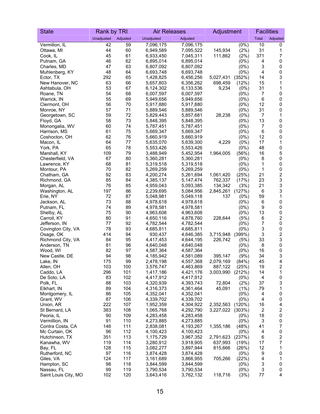| <b>State</b>                       | Rank by TRI |            | <b>Air Releases</b>    |                        | Adjustment             |                   | <b>Facilities</b>    |                              |
|------------------------------------|-------------|------------|------------------------|------------------------|------------------------|-------------------|----------------------|------------------------------|
|                                    | Unadjusted  | Adjusted   | Unadjusted             | Adjusted               |                        |                   | Total                | Adjusted                     |
| Vermilion, IL                      | 42          | 59         | 7,096,175              | 7,096,175              |                        | $(0\%)$           | 10                   | 0                            |
| Ottawa, MI                         | 44          | 60         | 6,949,589              | 7,095,522              | 145,934                | (2%)              | 31                   | 1                            |
| Cook, IL                           | 45          | 61         | 6,933,450              | 7,045,311              | 111,862                | (2%)              | 371                  | 7                            |
| Putnam, GA                         | 46          | 62         | 6,895,014              | 6,895,014              |                        | $(0\%)$           | 4                    | $\pmb{0}$                    |
| Charles, MD                        | 47          | 63         | 6,807,092              | 6,807,092              |                        | $(0\%)$           | 3                    | 0                            |
| Muhlenberg, KY                     | 48<br>292   | 64<br>65   | 6,693,748              | 6,693,748              |                        | $(0\%)$           | 4<br>14              | $\pmb{0}$<br>3               |
| Ector, TX<br>New Hanover, NC       | 63          | 66         | 1,428,825<br>5,657,803 | 6,456,256<br>6,356,262 | 5,027,431<br>698,459   | (352%)<br>(12%)   | 15                   | 1                            |
| Ashtabula, OH                      | 53          | 67         | 6,124,302              | 6,133,536              | 9,234                  | $(0\%)$           | 31                   | 1                            |
| Roane, TN                          | 54          | 68         | 6,007,597              | 6,007,597              |                        | (0%)              | 7                    | $\pmb{0}$                    |
| Warrick, IN                        | 55          | 69         | 5,949,656              | 5,949,656              |                        | $(0\%)$           | 6                    | $\pmb{0}$                    |
| Clermont, OH                       | 56          | 70         | 5,917,880              | 5,917,880              |                        | (0%)              | 12                   | $\pmb{0}$                    |
| Monroe, NY                         | 57          | 71         | 5,889,546              | 5,889,546              |                        | $(0\%)$           | 31                   | 0                            |
| Georgetown, SC                     | 59          | 72         | 5,829,443              | 5,857,681              | 28,238                 | $(0\%)$           | $\overline{7}$       | 1                            |
| Floyd, GA                          | 58          | 73         | 5,848,395              | 5,848,395              |                        | $(0\%)$           | 13                   | $\pmb{0}$                    |
| Monongalia, WV                     | 60<br>61    | 74         | 5,787,451              | 5,787,451              |                        | $(0\%)$           | 7                    | 0                            |
| Harrison, MS<br>Coshocton, OH      | 62          | 75<br>76   | 5,669,347<br>5,660,919 | 5,669,347<br>5,660,919 |                        | (0%)<br>$(0\%)$   | 6<br>12              | 0<br>$\pmb{0}$               |
| Macon, IL                          | 64          | 77         | 5,635,070              | 5,639,300              | 4,229                  | $(0\%)$           | 17                   | 1                            |
| York, PA                           | 65          | 78         | 5,553,426              | 5,553,426              |                        | (0%)              | 48                   | $\pmb{0}$                    |
| Marshall, KY                       | 109         | 79         | 3,488,949              | 5,452,954              | 1,964,005              | (56%)             | 16                   | $\mathbf 5$                  |
| Chesterfield, VA                   | 67          | 80         | 5,360,281              | 5,360,281              |                        | (0%)              | 8                    | $\pmb{0}$                    |
| Lawrence, KY                       | 68          | 81         | 5,319,518              | 5,319,518              |                        | $(0\%)$           | 1                    | 0                            |
| Montour, PA                        | 70          | 82         | 5,269,259              | 5,269,259              |                        | $(0\%)$           | 1                    | $\pmb{0}$                    |
| Chatham, GA                        | 92          | 83         | 4,200,274              | 5,261,694              | 1,061,420              | (25%)             | 21                   | $\mathbf 2$                  |
| Richmond, GA                       | 85          | 84         | 4,385,137              | 5,147,474              | 762,337                | (17%)             | 23                   | 3                            |
| Morgan, AL                         | 76          | 85         | 4,959,043              | 5,093,385              | 134,342                | (3%)              | 21                   | 3                            |
| Washington, AL<br>Erie, NY         | 197<br>72   | 86<br>87   | 2,239,695<br>5,048,981 | 5,084,956<br>5,049,118 | 2,845,261<br>137       | (127%)<br>$(0\%)$ | 6<br>59              | 3<br>1                       |
| Jackson, AL                        | 73          | 88         | 4,978,618              | 4,978,618              |                        | $(0\%)$           | 6                    | $\pmb{0}$                    |
| Putnam, FL                         | 74          | 89         | 4,978,581              | 4,978,581              |                        | $(0\%)$           | 9                    | $\pmb{0}$                    |
| Shelby, AL                         | 75          | 90         | 4,963,608              | 4,963,608              |                        | $(0\%)$           | 13                   | $\pmb{0}$                    |
| Carroll, KY                        | 80          | 91         | 4,650,116              | 4,878,760              | 228,644                | (5%)              | 6                    | $\overline{\mathbf{c}}$      |
| Jefferson, IN                      | 77          | 92         | 4,782,544              | 4,782,544              |                        | (0%)              | 7                    | $\pmb{0}$                    |
| Covington City, VA                 | 78          | 93         | 4,685,811              | 4,685,811              |                        | $(0\%)$           | 3                    | $\pmb{0}$                    |
| Osage, OK                          | 414         | 94         | 930,437                | 4,646,385              | 3,715,948              | (399%)            | 3                    | $\boldsymbol{2}$             |
| Richmond City, VA                  | 84          | 95         | 4,417,453              | 4,644,195              | 226,742                | (5%)              | 33                   | 3                            |
| Anderson, TN<br>Wood, WI           | 81<br>82    | 96<br>97   | 4,640,048              | 4,640,048              |                        | (0%)              | 8<br>16              | $\pmb{0}$<br>$\pmb{0}$       |
| New Castle, DE                     | 94          | 98         | 4,587,364<br>4,185,942 | 4,587,364<br>4,581,089 | 395,147                | $(0\%)$<br>(9%)   | 34                   | $\ensuremath{\mathsf{3}}$    |
| Lake, IN                           | 175         | 99         | 2,478,198              | 4,557,368              | 2,079,169              | (84%)             | 45                   | 4                            |
| Allen, OH                          | 103         | 100        | 3,576,747              | 4,463,869              | 887,122                | (25%)             | 19                   | 2                            |
| Caddo, LA                          | 296         | 101        | 1,417,186              | 4,421,176              | 3,003,990              | (212%)            | 14                   | $\mathbf{1}$                 |
| De Soto, LA                        | 83          | 102        | 4,417,912              | 4,417,912              |                        | (0%)              | 4                    | 0                            |
| Polk, FL                           | 88          | 103        | 4,320,939              | 4,393,743              | 72,804                 | (2%)              | 37                   | 3                            |
| Elkhart, IN                        | 89          | 104        | 4,316,373              | 4,361,464              | 45,091                 | (1%)              | 79                   | 1                            |
| Montgomery, IL                     | 86          | 105        | 4,352,041              | 4,352,041              |                        | $(0\%)$           | 4                    | 0                            |
| Grant, WV                          | 87          | 106        | 4,339,702              | 4,339,702              |                        | (0%)              | 4                    | 0                            |
| Union, AR                          | 222<br>383  | 107<br>108 | 1,952,359              | 4,304,922<br>4,292,790 | 2,352,563<br>3,227,022 | (120%)<br>(303%)  | 16<br>$\overline{2}$ | 4<br>$\overline{\mathbf{c}}$ |
| St Bernard, LA<br>Peoria, IL       | 90          | 109        | 1,065,768<br>4,283,458 | 4,283,458              |                        | (0%)              | 18                   | 0                            |
| Vermillion, IN                     | 91          | 110        | 4,273,885              | 4,273,885              |                        | (0%)              | 3                    | 0                            |
| Contra Costa, CA                   | 146         | 111        | 2,838,081              | 4,193,267              | 1,355,186              | (48%)             | 41                   | 7                            |
| Mc Curtain, OK                     | 96          | 112        | 4,100,423              | 4,100,423              |                        | $(0\%)$           | 4                    | 0                            |
| Hutchinson, TX                     | 351         | 113        | 1,175,729              | 3,967,352              | 2,791,623              | (237%)            | 6                    | $\overline{\mathbf{c}}$      |
| Kanawha, WV                        | 119         | 114        | 3,280,912              | 3,918,905              | 637,993                | (19%)             | 17                   | 7                            |
| Bay, FL                            | 128         | 115        | 3,082,277              | 3,897,944              | 815,666                | (26%)             | 12                   | 1                            |
| Rutherford, NC                     | 97          | 116        | 3,874,428              | 3,874,428              |                        | (0%)              | 9                    | 0                            |
| Giles, VA                          | 124         | 117        | 3,161,689              | 3,866,955              | 705,266                | (22%)             | 4                    | 1                            |
| Hampton, SC                        | 98<br>99    | 118<br>119 | 3,844,599              | 3,844,599              |                        | $(0\%)$           | 3<br>3               | 0<br>0                       |
| Nassau, FL<br>Saint Louis City, MO | 102         | 120        | 3,790,534<br>3,643,416 | 3,790,534<br>3,762,132 | 118,716                | (0%)<br>(3%)      | 77                   | 4                            |
|                                    |             |            |                        |                        |                        |                   |                      |                              |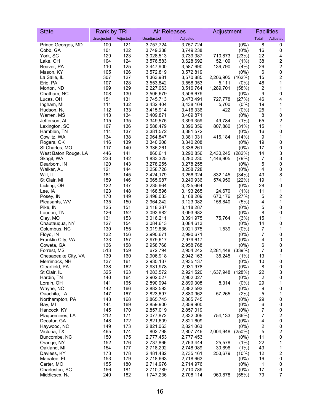| <b>State</b>                    | Rank by TRI |            | <b>Air Releases</b>    |                        | Adjustment         |                    | <b>Facilities</b> |                              |
|---------------------------------|-------------|------------|------------------------|------------------------|--------------------|--------------------|-------------------|------------------------------|
|                                 | Unadjusted  | Adjusted   | Unadjusted             | Adjusted               |                    |                    | Total             | Adjusted                     |
| Prince Georges, MD              | 100         | 121        | 3,757,724              | 3,757,724              |                    | $(0\%)$            | 8                 | 0                            |
| Cobb, GA                        | 101         | 122        | 3,749,238              | 3,749,238              |                    | $(0\%)$            | 16                | 0                            |
| York, SC                        | 129         | 123        | 3,028,513              | 3,739,387              | 710,873            | (23%)              | 22                | 4                            |
| Lake, OH                        | 104         | 124        | 3,576,583              | 3,628,692              | 52,109             | $(1\%)$            | 38                | $\boldsymbol{2}$             |
| Beaver, PA                      | 110         | 125        | 3,447,900              | 3,587,690              | 139,790            | (4%)               | 26                | $\boldsymbol{2}$             |
| Mason, KY                       | 105<br>307  | 126<br>127 | 3,572,819              | 3,572,819              |                    | $(0\%)$            | 6<br>15           | 0<br>$\boldsymbol{2}$        |
| La Salle, IL<br>Erie, PA        | 107         | 128        | 1,363,981<br>3,553,842 | 3,570,885<br>3,558,953 | 2,206,905<br>5,111 | (162%)<br>$(0\%)$  | 48                | 1                            |
| Morton, ND                      | 199         | 129        | 2,227,063              | 3,516,764              | 1,289,701          | (58%)              | 2                 | 1                            |
| Chatham, NC                     | 108         | 130        | 3,506,679              | 3,506,679              |                    | (0%)               | 9                 | $\pmb{0}$                    |
| Lucas, OH                       | 151         | 131        | 2,745,713              | 3,473,491              | 727,778            | (27%)              | 46                | 4                            |
| Ingham, MI                      | 111         | 132        | 3,432,404              | 3,438,104              | 5,700              | $(0\%)$            | 19                | 1                            |
| Hudson, NJ                      | 112         | 133        | 3,415,914              | 3,416,336              | 422                | $(0\%)$            | 25                | 1                            |
| Warren, MS                      | 113         | 134        | 3,409,871              | 3,409,871              |                    | $(0\%)$            | 8                 | $\pmb{0}$                    |
| Jefferson, AL                   | 115         | 135        | 3,349,575              | 3,399,359              | 49,784             | (1%)               | 65                | $\overline{\mathbf{c}}$      |
| Lexington, SC                   | 167         | 136        | 2,588,479              | 3,396,359              | 807,880            | (31%)              | 15                | 1                            |
| Hamblen, TN<br>Cowlitz, WA      | 114<br>134  | 137<br>138 | 3,381,572<br>2,964,847 | 3,381,572<br>3,381,031 | 416,184            | $(0\%)$<br>(14%)   | 16<br>9           | $\pmb{0}$<br>1               |
| Rogers, OK                      | 116         | 139        | 3,340,208              | 3,340,208              |                    | (0%)               | 19                | $\pmb{0}$                    |
| St Charles, MO                  | 117         | 140        | 3,336,261              | 3,336,261              |                    | (0%)               | 17                | $\pmb{0}$                    |
| West Baton Rouge, LA            | 446         | 141        | 860,611                | 3,290,856              | 2,430,245          | (282%)             | 14                | 3                            |
| Skagit, WA                      | 233         | 142        | 1,833,325              | 3,280,230              | 1,446,905          | (79%)              | 7                 | 3                            |
| Dearborn, IN                    | 120         | 143        | 3,278,255              | 3,278,255              |                    | (0%)               | 5                 | 0                            |
| Walker, AL                      | 121         | 144        | 3,258,728              | 3,258,728              |                    | (0%)               | 4                 | 0                            |
| Will, IL                        | 181         | 145        | 2,424,179              | 3,256,324              | 832,145            | (34%)              | 43                | 8                            |
| St Clair, MI                    | 159         | 146        | 2,665,987              | 3,240,936              | 574,950            | (22%)              | 19                | 1                            |
| Licking, OH                     | 122         | 147        | 3,235,664              | 3,235,664              |                    | $(0\%)$            | 28                | 0                            |
| Lee, IA                         | 123         | 148        | 3,168,596              | 3,193,265              | 24,670             | $(1\%)$            | 11                | 1                            |
| Posey, IN                       | 170<br>135  | 149<br>150 | 2,498,033<br>2,964,242 | 3,168,209<br>3,123,082 | 670,176<br>158,840 | (27%)<br>(5%)      | 5<br>4            | $\overline{\mathbf{c}}$<br>1 |
| Pleasants, WV<br>Pike, IN       | 125         | 151        | 3,118,287              | 3,118,287              |                    | (0%)               | 5                 | 0                            |
| Loudon, TN                      | 126         | 152        | 3,093,982              | 3,093,982              |                    | $(0\%)$            | 8                 | 0                            |
| Clay, MO                        | 131         | 153        | 3,016,211              | 3,091,975              | 75,764             | (3%)               | 15                | 1                            |
| Chautaugua, NY                  | 127         | 154        | 3,084,613              | 3,084,613              |                    | (0%)               | 14                | 0                            |
| Columbus, NC                    | 130         | 155        | 3,019,836              | 3,021,375              | 1,539              | $(0\%)$            | 7                 | 1                            |
| Floyd, IN                       | 132         | 156        | 2,990,671              | 2,990,671              |                    | $(0\%)$            | 7                 | 0                            |
| Franklin City, VA               | 133         | 157        | 2,979,617              | 2,979,617              |                    | $(0\%)$            | 4                 | 0                            |
| Coweta, GA                      | 136         | 158        | 2,958,768              | 2,958,768              |                    | $(0\%)$            | 6                 | $\pmb{0}$                    |
| Forrest, MS                     | 513         | 159        | 672,794                | 2,954,242              | 2,281,448          | (339%)             | $\overline{7}$    | 3                            |
| Chesapeake City, VA             | 139         | 160        | 2,906,918              | 2,942,163              | 35,245             | (1%)               | 13                | 1<br>$\Omega$                |
| Merrimack, NH<br>Clearfield, PA | 137<br>138  | 161<br>162 | 2,935,137<br>2,931,978 | 2,935,137<br>2,931,978 |                    | $(0\%)$<br>$(0\%)$ | 10<br>8           | 0                            |
| St Clair, IL                    | 325         | 163        | 1,283,572              | 2,921,520              | 1,637,948          | (128%)             | 22                | 3                            |
| Hardin, TN                      | 140         | 164        | 2,902,027              | 2,902,027              |                    | (0%)               | $\boldsymbol{2}$  | 0                            |
| Lorain, OH                      | 141         | 165        | 2,890,994              | 2,899,308              | 8,314              | (0%)               | 29                | 1                            |
| Wayne, NC                       | 142         | 166        | 2,882,593              | 2,882,593              |                    | (0%)               | 9                 | 0                            |
| Ouachita, LA                    | 147         | 167        | 2,823,697              | 2,880,962              | 57,265             | (2%)               | 5                 | 1                            |
| Northampton, PA                 | 143         | 168        | 2,865,745              | 2,865,745              |                    | (0%)               | 29                | 0                            |
| Bay, MI                         | 144         | 169        | 2,859,900              | 2,859,900              |                    | (0%)               | 6                 | 0                            |
| Hancock, KY                     | 145         | 170        | 2,857,019              | 2,857,019              |                    | (0%)               | 7                 | 0                            |
| Plaquemines, LA                 | 212         | 171        | 2,077,872              | 2,832,006              | 754,133            | (36%)              | 7                 | $\overline{\mathbf{c}}$      |
| Decatur, GA                     | 148         | 172<br>173 | 2,821,609              | 2,821,609              |                    | (0%)               | 4                 | 0<br>0                       |
| Haywood, NC<br>Victoria, TX     | 149<br>465  | 174        | 2,821,063<br>802,798   | 2,821,063<br>2,807,746 | 2,004,948          | (0%)<br>(250%)     | 2<br>5            | $\overline{\mathbf{c}}$      |
| Buncombe, NC                    | 150         | 175        | 2,777,453              | 2,777,453              |                    | $(0\%)$            | 11                | $\pmb{0}$                    |
| Orange, NY                      | 152         | 176        | 2,737,866              | 2,763,444              | 25,578             | (1%)               | 22                | 1                            |
| Oakland, MI                     | 154         | 177        | 2,718,292              | 2,748,989              | 30,696             | (1%)               | 43                | 1                            |
| Daviess, KY                     | 173         | 178        | 2,481,482              | 2,735,161              | 253,679            | $(10\%)$           | 12                | $\overline{\mathbf{c}}$      |
| Manatee, FL                     | 153         | 179        | 2,718,663              | 2,718,663              |                    | $(0\%)$            | 16                | 0                            |
| Carter, MO                      | 155         | 180        | 2,714,976              | 2,714,976              |                    | (0%)               | 1                 | 0                            |
| Charleston, SC                  | 156         | 181        | 2,710,789              | 2,710,789              |                    | (0%)               | 17                | 0                            |
| Middlesex, NJ                   | 240         | 182        | 1,747,236              | 2,708,114              | 960,878            | (55%)              | 79                | $\overline{7}$               |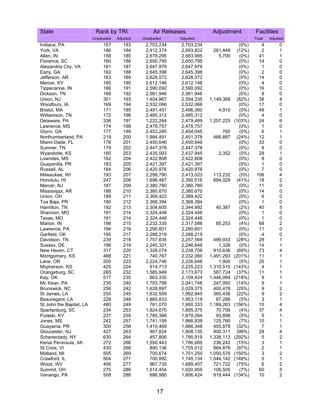| <b>State</b>              | Rank by TRI |            | <b>Air Releases</b>    |                        | Adjustment        |                  |                         | <b>Facilities</b>       |
|---------------------------|-------------|------------|------------------------|------------------------|-------------------|------------------|-------------------------|-------------------------|
|                           | Unadjusted  | Adjusted   | Unadjusted             | Adjusted               |                   |                  | Total                   | Adjusted                |
| Indiana, PA               | 157         | 183        | 2,703,234              | 2,703,234              |                   | $(0\%)$          | 4                       | 0                       |
| York, VA                  | 186         | 184        | 2,412,374              | 2,693,822              | 281,448           | (12%)            | $\overline{\mathbf{c}}$ | 1                       |
| Allen, IN                 | 158         | 185        | 2,678,295              | 2,683,995              | 5,700             | $(0\%)$          | 41                      | 1                       |
| Florence, SC              | 160         | 186        | 2,650,795              | 2,650,795              |                   | $(0\%)$          | 14                      | $\pmb{0}$               |
| Alexandria City, VA       | 161         | 187        | 2,647,979              | 2,647,979              |                   | $(0\%)$          | 1                       | 0                       |
| Early, GA                 | 162         | 188        | 2,645,398              | 2,645,398              |                   | $(0\%)$          | $\mathbf 2$             | $\pmb{0}$               |
| Jefferson, AR             | 163         | 189        | 2,628,572              | 2,628,572              |                   | $(0\%)$          | 14                      | $\pmb{0}$               |
| Mercer, KY                | 165         | 190        | 2,612,146              | 2,612,146              |                   | $(0\%)$          | 4                       | $\pmb{0}$               |
| Tippecanoe, IN            | 166         | 191        | 2,590,092              | 2,590,092              |                   | (0%)             | 16                      | 0                       |
| Dickson, TN               | 168         | 192        | 2,561,946              | 2,561,946              |                   | $(0\%)$          | 8                       | 0                       |
| Union, NJ<br>Woodbury, IA | 301<br>169  | 193<br>194 | 1,404,967<br>2,532,066 | 2,554,335<br>2,532,066 | 1,149,368         | (82%)<br>$(0\%)$ | 38<br>17                | 4<br>$\pmb{0}$          |
| Bristol, MA               | 171         | 195        | 2,491,451              | 2,496,360              | 4,910             | $(0\%)$          | 49                      | 1                       |
| Williamson, TN            | 172         | 196        | 2,485,312              | 2,485,312              |                   | $(0\%)$          | 4                       | 0                       |
| Delaware, PA              | 336         | 197        | 1,222,264              | 2,479,489              | 1,257,225         | (103%)           | 24                      | 6                       |
| Lawrence, MS              | 174         | 198        | 2,478,757              | 2,478,757              |                   | (0%)             | 1                       | 0                       |
| Glynn, GA                 | 177         | 199        | 2,453,285              | 2,454,045              | 760               | $(0\%)$          | 6                       | 1                       |
| Northumberland, PA        | 219         | 200        | 1,984,491              | 2,451,378              | 466,887           | (24%)            | 12                      | 1                       |
| Miami-Dade, FL            | 178         | 201        | 2,450,646              | 2,450,646              |                   | (0%)             | 33                      | $\pmb{0}$               |
| Sumner, TN                | 179         | 202        | 2,447,378              | 2,447,378              |                   | (0%)             | 8                       | 0                       |
| Wyandotte, KS             | 180         | 203        | 2,435,593              | 2,437,945              | 2,352             | $(0\%)$          | 29                      | 1                       |
| Lowndes, MS               | 182         | 204        | 2,422,808              | 2,422,808              |                   | $(0\%)$          | 8                       | $\pmb{0}$               |
| Guayanilla, PR            | 183         | 205        | 2,421,397              | 2,421,397              |                   | $(0\%)$          | 1                       | 0                       |
| Russell, AL               | 184         | 206        | 2,420,976              | 2,420,976              |                   | $(0\%)$          | 7                       | 0                       |
| Milwaukee, WI             | 193         | 207        | 2,299,790              | 2,413,023              | 113,232           | (5%)             | 106                     | 4                       |
| Honolulu, HI              | 247         | 208        | 1,696,487              | 2,390,516              | 694,029           | (41%)            | 18                      | $\mathbf 2$             |
| Mercer, NJ                | 187         | 209        | 2,380,780              | 2,380,780              |                   | (0%)             | 11                      | $\pmb{0}$               |
| Mississippi, AR           | 188         | 210        | 2,380,670              | 2,380,670              |                   | $(0\%)$          | 14                      | $\pmb{0}$               |
| Union, OH                 | 189         | 211        | 2,369,422              | 2,369,422              |                   | $(0\%)$          | 6                       | $\pmb{0}$               |
| Toa Baja, PR              | 190         | 212        | 2,368,394              | 2,368,394              |                   | $(0\%)$          | 1                       | 0                       |
| Hamilton, TN              | 192         | 213        | 2,304,605              | 2,344,992              | 40,387            | (2%)             | 40                      | 5                       |
| Shannon, MO               | 191         | 214        | 2,324,448              | 2,324,448              |                   | $(0\%)$          | 1                       | $\pmb{0}$<br>$\pmb{0}$  |
| Texas, MO<br>Marion, IN   | 191<br>198  | 214<br>215 | 2,324,448<br>2,232,335 | 2,324,448<br>2,317,588 | 85,253            | $(0\%)$<br>(4%)  | 1<br>68                 | $\overline{\mathbf{c}}$ |
| Lawrence, PA              | 194         | 216        | 2,290,601              | 2,290,601              |                   | (0%)             | 11                      | 0                       |
| Garfield, OK              | 195         | 217        | 2,288,219              | 2,288,219              |                   | (0%)             | 4                       | $\pmb{0}$               |
| Davidson, TN              | 239         | 218        | 1,757,635              | 2,257,569              | 499,933           | (28%)            | 29                      | 1                       |
| Sussex, DE                | 196         | 219        | 2,245,321              | 2,246,648              | 1,326             | (0%)             | 14                      | 1                       |
| New Haven, CT             | 317         | 220        | 1,328,074              | 2,238,709              | 910,636           | (69%)            | 73                      | 4                       |
| Montgomery, KS            | 488         | 221        | 740,767                | 2,232,060              | 1,491,293         | (201%)           | 11                      | 1                       |
| Lane, OR                  | 200         | 223        | 2,224,746              | 2,226,646              | 1,900             | $(0\%)$          | 25                      | 1                       |
| Mcpherson, KS             | 425         | 224        | 914,713                | 2,225,223              | 1,310,510 (143%)  |                  | 4                       | 1                       |
| Orangeburg, SC            | 265         | 232        | 1,585,949              | 2,173,673              | 587,724           | (37%)            | 11                      | 1                       |
| Kay, OK                   | 517         | 235        | 663,330                | 2,109,424              | 1,446,094         | (218%)           | 9                       | 1                       |
| Mc Kean, PA               | 235         | 240        | 1,793,798              | 2,041,748              | 247,950           | (14%)            | 9                       | 1                       |
| Brunswick, NC             | 256         | 242        | 1,628,897              | 2,029,375              | 400,478           | (25%)            | 9                       | $\overline{\mathbf{c}}$ |
| St James, LA              | 255         | 245        | 1,632,509              | 1,992,945              | 360,436           | (22%)            | 9                       | $\mathbf 2$             |
| Beauregard, LA            | 229         | 248        | 1,865,833              | 1,953,119              | 87,286            | (5%)             | 3                       | 1                       |
| St John the Baptist, LA   | 480         | 249        | 761,070                | 1,950,333              | 1,189,263         | (156%)           | 10                      | 4                       |
| Spartanburg, SC           | 234         | 253        | 1,824,670              | 1,895,375              | 70,706            | (4%)             | 37                      | 4                       |
| Pulaski, KY               | 237<br>242  | 255<br>257 | 1,785,366              | 1,879,264              | 93,898<br>125,780 | (5%)             | 5<br>10                 | 1<br>1                  |
| Jones, MS<br>Guayama, PR  | 300         | 258        | 1,741,159<br>1,410,469 | 1,866,939<br>1,866,348 | 455,878           | (7%)<br>(32%)    | 7                       | 1                       |
| Gloucester, NJ            | 427         | 263        | 907,824                | 1,808,135              | 900,311           | $(99\%)$         | 28                      | 4                       |
| Schenectady, NY           | 630         | 264        | 457,806                | 1,795,919              | 1,338,113         | (292%)           | 5                       | $\overline{\mathbf{c}}$ |
| Kenai Peninsula, AK       | 272         | 266        | 1,550,443              | 1,786,685              | 236,242           | (15%)            | 3                       | 1                       |
| St Croix, VI              | 430         | 268        | 890,136                | 1,755,012              | 864,876           | (97%)            | 2                       | 1                       |
| Midland, MI               | 505         | 269        | 700,674                | 1,751,250              | 1,050,576         | (150%)           | 3                       | $\overline{\mathbf{c}}$ |
| Crawford, IL              | 504         | 271        | 700,992                | 1,745,134              | 1,044,142         | (149%)           | 5                       | 1                       |
| Wood, WV                  | 406         | 277        | 967,735                | 1,689,457              | 721,722           | (75%)            | 6                       | $\overline{\mathbf{c}}$ |
| Summit, OH                | 275         | 286        | 1,514,454              | 1,620,959              | 106,505           | (7%)             | 60                      | 5                       |
| Venango, PA               | 508         | 288        | 686,980                | 1,606,424              | 919,444 (134%)    |                  | 10                      | $\overline{c}$          |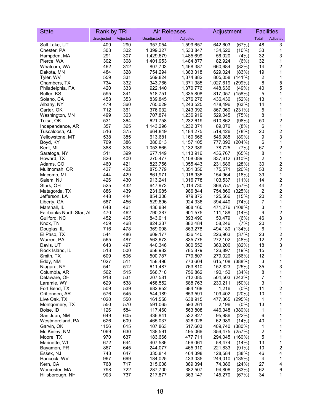| <b>State</b>                             | Rank by TRI |            | <b>Air Releases</b> |                        | Adjustment         |                 |                | <b>Facilities</b>       |
|------------------------------------------|-------------|------------|---------------------|------------------------|--------------------|-----------------|----------------|-------------------------|
|                                          | Unadjusted  | Adjusted   | Unadjusted          | Adjusted               |                    |                 | <b>Total</b>   | Adjusted                |
| Salt Lake, UT                            | 409         | 290        | 957,054             | 1,599,657              | 642,603            | (67%)           | 48             | 3                       |
| Chester, PA                              | 303         | 302        | 1,399,327           | 1,533,847              | 134,520            | (10%)           | 33             | 1                       |
| Hampden, MA                              | 291         | 307        | 1,429,679           | 1,485,699              | 56,020             | (4%)            | 32             | 3                       |
| Pierce, WA                               | 302         | 308        | 1,401,953           | 1,484,877              | 82,924             | (6%)            | 32             | 1                       |
| Whatcom, WA                              | 462         | 312        | 807,703             | 1,468,387              | 660,684            | (82%)           | 14             | $\overline{\mathbf{c}}$ |
| Dakota, MN                               | 484         | 328        | 754,294             | 1,383,318              | 629,024            | (83%)           | 19             | 1                       |
| Tyler, WV                                | 559         | 331        | 569,824             | 1,374,882              | 805,058            | (141%)          | $\overline{2}$ | 1                       |
| Chambers, TX                             | 734         | 332        | 343,766             | 1,371,385              | 1,027,619          | (299%)          | 8              | 5                       |
| Philadelphia, PA                         | 420         | 333        | 922,140             | 1,370,776              | 448,636            | (49%)           | 40             | 5                       |
| Butler, KS                               | 595<br>453  | 341<br>353 | 518,751             | 1,335,808              | 817,057            | (158%)          | 5<br>13        | 1<br>1                  |
| Solano, CA<br>Albany, NY                 | 479         | 360        | 839,845<br>765,029  | 1,276,276<br>1,243,525 | 436,430<br>478,496 | (52%)<br>(63%)  | 14             | 1                       |
| Carter, OK                               | 712         | 361        | 376,032             | 1,243,092              | 867,060            | (231%)          | 5              | 1                       |
| Washington, MN                           | 499         | 363        | 707,874             | 1,236,919              | 529,045            | (75%)           | 8              | 1                       |
| Tulsa, OK                                | 531         | 364        | 621,758             | 1,232,619              | 610,862            | (98%)           | 50             | 2                       |
| Independence, AR                         | 357         | 365        | 1,143,296           | 1,232,371              | 89,076             | (8%)            | 6              | 1                       |
| Tuscaloosa, AL                           | 516         | 375        | 664,849             | 1,184,275              | 519,426            | (78%)           | 20             | 2                       |
| Yellowstone, MT                          | 538         | 385        | 613,681             | 1,160,666              | 546,985            | (89%)           | 9              | 3                       |
| Boyd, KY                                 | 709         | 386        | 380,013             | 1,157,105              | 777,092            | (204%)          | 6              | 1                       |
| Kent, MI                                 | 388         | 393        | 1,053,665           | 1,132,389              | 78,725             | (7%)            | 67             | 2                       |
| Saratoga, NY                             | 511         | 399        | 677,149             | 1,113,916              | 436,767            | (65%)           | 8              | 1                       |
| Howard, TX                               | 826         | 400        | 270,477             | 1,108,089              | 837,612            | (310%)          | 2              | 1                       |
| Adams, CO                                | 460         | 421        | 823,756             | 1,055,443              | 231,686            | (28%)           | 30             | 2                       |
| Multnomah, OR                            | 437         | 422        | 875,779             | 1,051,350              | 175,571            | (20%)           | 53             | $\overline{c}$          |
| Macomb, MI                               | 444         | 429        | 861,971             | 1,016,935              | 154,964            | (18%)           | 39             | 1                       |
| Salem, NJ                                | 426         | 430        | 913,241             | 1,016,778              | 103,537            | $(11\%)$        | 14             | $\overline{c}$          |
| Stark, OH                                | 525         | 432        | 647,973             | 1,014,730              | 366,757            | (57%)           | 44             | $\overline{\mathbf{c}}$ |
| Matagorda, TX                            | 886         | 439        | 231,985             | 986,844                | 754,860            | (325%)          | 2              | $\overline{c}$          |
| Jefferson, LA                            | 448         | 444        | 854,306             | 979,872                | 125,566            | (15%)           | 20             | $\overline{\mathbf{c}}$ |
| Liberty, GA                              | 587         | 456        | 529,896             | 924,336                | 394,440            | (74%)           | 7              | 1                       |
| Marshall, IL<br>Fairbanks North Star, Al | 648<br>470  | 461<br>462 | 436,884<br>790,387  | 908,160<br>901,575     | 471,276<br>111,188 | (108%)          | 3<br>9         | 1<br>2                  |
| Guilford, NC                             | 452         | 465        | 843,011             | 893,490                | 50,479             | (14%)<br>(6%)   | 46             | 3                       |
| Knox, TN                                 | 459         | 468        | 824,237             | 882,484                | 58,246             | (7%)            | 20             | 1                       |
| Douglas, IL                              | 716         | 478        | 369,098             | 863,278                | 494,180            | (134%)          | 6              | 1                       |
| El Paso, TX                              | 544         | 486        | 609,177             | 836,140                | 226,963            | (37%)           | 23             | $\overline{c}$          |
| Warren, PA                               | 565         | 487        | 563,673             | 835,775                | 272,102            | (48%)           | 12             | $\overline{\mathbf{c}}$ |
| Davis, UT                                | 643         | 497        | 440,346             | 800,552                | 360,206            | (82%)           | 18             | 3                       |
| Rock Island, IL                          | 518         | 500        | 658,982             | 785,879                | 126,897            | (19%)           | 15             | 1                       |
| Smith, TX                                | 609         | 506        | 500,787             | 779,807                | 279,020            | (56%)           | 12             | 1                       |
| Eddy, NM                                 | 1027        | 511        | 158,496             | 773,604                | 615,108 (388%)     |                 | 3              | 1                       |
| Niagara, NY                              | 541         | 512        | 611,487             | 763,810                | 152,323            | (25%)           | 35             | 3                       |
| Columbia, AR                             | 562         | 515        | 566,710             | 756,862                | 190,152            | (34%)           | 8              | 1                       |
| Delaware, OH                             | 918         | 531        | 207,581             | 712,085                | 504,503            | (243%)          | 7              | 1                       |
| Laramie, WY                              | 629         | 538        | 458,552             | 688,763                | 230,211            | $(50\%)$        | 3              | 1                       |
| Fort Bend, TX                            | 509         | 539        | 682,952             | 684,168                | 1,216              | $(0\%)$         | 11             | 2                       |
| Crittenden, AR                           | 576         | 545        | 544,189             | 653,591                | 109,402            | (20%)           | 10             | 1                       |
| Live Oak, TX                             | 1020        | 550        | 161,550             | 638,915                | 477,365            | (295%)          | 1              | 1                       |
| Montgomery, TX                           | 550         | 570        | 591,065             | 593,261                | 2,196              | $(0\%)$         | 13             | 1                       |
| Boise, ID                                | 1126<br>649 | 584<br>605 | 117,460<br>436,841  | 563,808<br>532,827     | 446,348<br>95,986  | (380%)<br>(22%) | 1<br>6         | 1<br>1                  |
| San Juan, NM<br>Westmoreland, PA         | 626         | 609        | 465,037             | 528,026                | 62,989             | (14%)           | 40             | 1                       |
| Garvin, OK                               | 1156        | 615        | 107,863             | 517,603                | 409,740            | (380%)          | 1              | 1                       |
| Mc Kinley, NM                            | 1069        | 630        | 138,591             | 495,066                | 356,475            | (257%)          | $\overline{2}$ | 1                       |
| Moore, TX                                | 970         | 637        | 183,666             | 477,711                | 294,045            | $(160\%)$       | 5              | 1                       |
| Marinette, WI                            | 672         | 644        | 407,586             | 466,061                | 58,474             | (14%)           | 13             | 1                       |
| Bayamon, PR                              | 867         | 645        | 244,077             | 465,910                | 221,833            | (91%)           | 10             | 2                       |
| Essex, NJ                                | 743         | 647        | 335,814             | 464,398                | 128,584            | (38%)           | 46             | 4                       |
| Hancock, WV                              | 967         | 669        | 184,025             | 433,035                | 249,010            | (135%)          | 4              | 1                       |
| Kern, CA                                 | 768         | 717        | 315,008             | 389,394                | 74,386             | (24%)           | 27             | 4                       |
| Worcester, MA                            | 798         | 722        | 287,700             | 382,507                | 94,806             | (33%)           | 62             | 6                       |
| Hillsborough, NH                         | 903         | 737        | 217,877             | 363,147                | 145,270            | (67%)           | 34             | 1                       |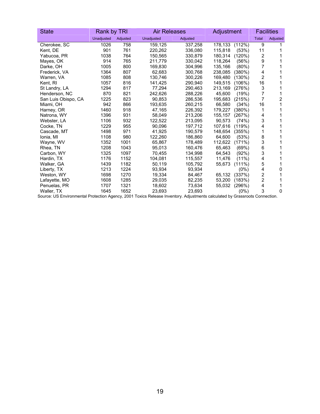| <b>State</b>        | Rank by TRI |          | <b>Air Releases</b> |          | Adjustment |           | <b>Facilities</b>       |          |
|---------------------|-------------|----------|---------------------|----------|------------|-----------|-------------------------|----------|
|                     | Unadjusted  | Adjusted | Unadjusted          | Adjusted |            |           | <b>Total</b>            | Adjusted |
| Cherokee, SC        | 1026        | 758      | 159,125             | 337,258  | 178,133    | (112%)    | 9                       |          |
| Kent, DE            | 901         | 761      | 220,262             | 336,080  | 115.818    | (53%)     | 11                      |          |
| Yabucoa, PR         | 1038        | 764      | 150,565             | 330,879  | 180,314    | (120%)    | 2                       |          |
| Mayes, OK           | 914         | 765      | 211,779             | 330,042  | 118,264    | (56%)     | 9                       |          |
| Darke, OH           | 1005        | 800      | 169,830             | 304,996  | 135,166    | $(80\%)$  | 7                       |          |
| Frederick, VA       | 1364        | 807      | 62,683              | 300,768  | 238,085    | (380%)    | 4                       |          |
| Warren, VA          | 1085        | 808      | 130,746             | 300,226  | 169,480    | $(130\%)$ | 2                       |          |
| Kent, RI            | 1057        | 816      | 141,425             | 290,940  | 149,515    | (106%)    | 16                      |          |
| St Landry, LA       | 1294        | 817      | 77,294              | 290,463  | 213,169    | (276%)    | 3                       |          |
| Henderson, NC       | 870         | 821      | 242,626             | 288,226  | 45,600     | (19%)     | 7                       |          |
| San Luis Obispo, CA | 1225        | 823      | 90,853              | 286,536  | 195,683    | (215%)    | 7                       | 2        |
| Miami, OH           | 942         | 866      | 193.635             | 260.215  | 66,580     | (34%)     | 16                      |          |
| Harney, OR          | 1460        | 918      | 47,165              | 226,392  | 179,227    | (380%)    | 1                       |          |
| Natrona, WY         | 1396        | 931      | 58.049              | 213,206  | 155,157    | (267%)    | 4                       |          |
| Webster, LA         | 1106        | 932      | 122,522             | 213,095  | 90,573     | (74%)     | 3                       |          |
| Cocke, TN           | 1229        | 955      | 90.096              | 197.712  | 107.616    | (119%)    | 4                       |          |
| Cascade, MT         | 1498        | 971      | 41,925              | 190,579  | 148,654    | (355%)    | 1                       |          |
| Ionia, MI           | 1108        | 980      | 122,260             | 186,860  | 64.600     | (53%)     | 8                       |          |
| Wayne, WV           | 1352        | 1001     | 65.867              | 178,489  | 112,622    | (171%)    | 3                       |          |
| Rhea, TN            | 1208        | 1043     | 95,013              | 160,476  | 65,463     | (69%)     | 6                       |          |
| Carbon, WY          | 1325        | 1097     | 70,455              | 134,998  | 64.543     | (92%)     | 3                       |          |
| Hardin, TX          | 1176        | 1152     | 104,081             | 115,557  | 11,476     | $(11\%)$  | 4                       |          |
| Walker, GA          | 1439        | 1182     | 50,119              | 105,792  | 55,673     | $(111\%)$ | 5                       |          |
| Liberty, TX         | 1213        | 1224     | 93,934              | 93,934   |            | (0%)      | 4                       | 0        |
| Weston, WY          | 1698        | 1270     | 19,334              | 84,467   | 65,132     | (337%)    | 2                       |          |
| Lafayette, MO       | 1608        | 1285     | 29,035              | 82,235   | 53,200     | (183%)    | $\overline{\mathbf{c}}$ |          |
| Penuelas, PR        | 1707        | 1321     | 18,602              | 73,634   | 55,032     | (296%)    | 4                       |          |
| Waller, TX          | 1645        | 1652     | 23,693              | 23,693   |            | (0%)      | 3                       | 0        |

Source: US Environmental Protection Agency, 2001 Toxics Release Inventory. Adjustments calculated by Grassroots Connection.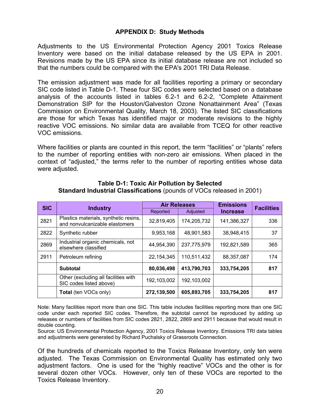### **APPENDIX D: Study Methods**

Adjustments to the US Environmental Protection Agency 2001 Toxics Release Inventory were based on the initial database released by the US EPA in 2001. Revisions made by the US EPA since its initial database release are not included so that the numbers could be compared with the EPA's 2001 TRI Data Release.

The emission adjustment was made for all facilities reporting a primary or secondary SIC code listed in Table D-1. These four SIC codes were selected based on a database analysis of the accounts listed in tables 6.2-1 and 6.2-2, "Complete Attainment Demonstration SIP for the Houston/Galveston Ozone Nonattainment Area" (Texas Commission on Environmental Quality, March 18, 2003). The listed SIC classifications are those for which Texas has identified major or moderate revisions to the highly reactive VOC emissions. No similar data are available from TCEQ for other reactive VOC emissions.

Where facilities or plants are counted in this report, the term "facilities" or "plants" refers to the number of reporting entities with non-zero air emissions. When placed in the context of "adjusted," the terms refer to the number of reporting entities whose data were adjusted.

| <b>SIC</b> | <b>Industry</b>                                                         |             | <b>Air Releases</b> | <b>Emissions</b> | <b>Facilities</b> |  |
|------------|-------------------------------------------------------------------------|-------------|---------------------|------------------|-------------------|--|
|            |                                                                         | Reported    | Adjusted            | <b>Increase</b>  |                   |  |
| 2821       | Plastics materials, synthetic resins,<br>and nonvulcanizable elastomers | 32,819,405  | 174,205,732         | 141,386,327      | 336               |  |
| 2822       | Synthetic rubber                                                        | 9,953,168   | 48,901,583          | 38,948,415       | 37                |  |
| 2869       | Industrial organic chemicals, not<br>elsewhere classified               | 44,954,390  | 237,775,979         | 192,821,589      | 365               |  |
| 2911       | Petroleum refining                                                      | 22,154,345  | 110,511,432         | 88,357,087       | 174               |  |
|            | <b>Subtotal</b>                                                         | 80,036,498  | 413,790,703         | 333,754,205      | 817               |  |
|            | Other (excluding all facilities with<br>SIC codes listed above)         | 192,103,002 | 192,103,002         |                  |                   |  |
|            | <b>Total</b> (ten VOCs only)                                            | 272,139,500 | 605,893,705         | 333,754,205      | 817               |  |

### **Table D-1: Toxic Air Pollution by Selected Standard Industrial Classifications** (pounds of VOCs released in 2001)

Note: Many facilities report more than one SIC. This table includes facilities reporting more than one SIC code under each reported SIC codes. Therefore, the subtotal cannot be reproduced by adding up releases or numbers of facilities from SIC codes 2821, 2822, 2869 and 2911 because that would result in double counting.

Source: US Environmental Protection Agency, 2001 Toxics Release Inventory. Emissions TRI data tables and adjustments were generated by Richard Puchalsky of Grassroots Connection.

Of the hundreds of chemicals reported to the Toxics Release Inventory, only ten were adjusted. The Texas Commission on Environmental Quality has estimated only two adjustment factors. One is used for the "highly reactive" VOCs and the other is for several dozen other VOCs. However, only ten of these VOCs are reported to the Toxics Release Inventory.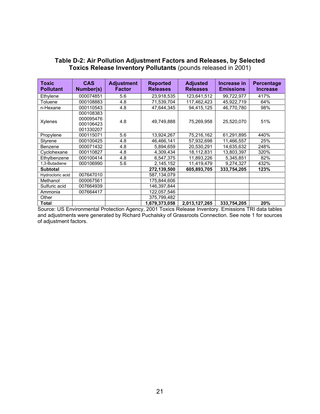### **Table D-2: Air Pollution Adjustment Factors and Releases, by Selected Toxics Release Inventory Pollutants** (pounds released in 2001)

| Toxic<br><b>Pollutant</b> | <b>CAS</b><br><b>Number(s)</b>                   | <b>Adjustment</b><br><b>Factor</b> | <b>Reported</b><br><b>Releases</b> | <b>Adjusted</b><br><b>Releases</b> | Increase in<br><b>Emissions</b> | Percentage<br><b>Increase</b> |
|---------------------------|--------------------------------------------------|------------------------------------|------------------------------------|------------------------------------|---------------------------------|-------------------------------|
| Ethylene                  | 000074851                                        | 5.6                                | 23,918,535                         | 123,641,512                        | 99,722,977                      | 417%                          |
| Toluene                   | 000108883                                        | 4.8                                | 71,539,704                         | 117,462,423                        | 45,922,719                      | 64%                           |
| n-Hexane                  | 000110543                                        | 4.8                                | 47,644,345                         | 94,415,125                         | 46,770,780                      | 98%                           |
| Xylenes                   | 000108383<br>000095476<br>000106423<br>001330207 | 4.8                                | 49,749,888                         | 75,269,958                         | 25,520,070                      | 51%                           |
| Propylene                 | 000115071                                        | 5.6                                | 13,924,267                         | 75,216,162                         | 61,291,895                      | 440%                          |
| Styrene                   | 000100425                                        | 4.8                                | 46,466,141                         | 57,932,698                         | 11,466,557                      | 25%                           |
| Benzene                   | 000071432                                        | 4.8                                | 5,894,659                          | 20,530,291                         | 14,635,632                      | 248%                          |
| Cyclohexane               | 000110827                                        | 4.8                                | 4,309,434                          | 18,112,831                         | 13,803,397                      | 320%                          |
| Ethylbenzene              | 000100414                                        | 4.8                                | 6,547,375                          | 11,893,226                         | 5,345,851                       | 82%                           |
| 1,3-Butadiene             | 000106990                                        | 5.6                                | 2,145,152                          | 11,419,479                         | 9,274,327                       | 432%                          |
| <b>Subtotal</b>           |                                                  |                                    | 272,139,500                        | 605,893,705                        | 333,754,205                     | 123%                          |
| Hydrocloric acid          | 007647010                                        |                                    | 587,134,079                        |                                    |                                 |                               |
| Methanol                  | 000067561                                        |                                    | 175,844,606                        |                                    |                                 |                               |
| Sulfuric acid             | 007664939                                        |                                    | 146,397,844                        |                                    |                                 |                               |
| Ammonia                   | 007664417                                        |                                    | 122,057,546                        |                                    |                                 |                               |
| Other                     |                                                  |                                    | 375,799,482                        |                                    |                                 |                               |
| <b>Total</b>              |                                                  |                                    | 1,679,373,058                      | 2,013,127,265                      | 333,754,205                     | 20%                           |

Source: US Environmental Protection Agency, 2001 Toxics Release Inventory. Emissions TRI data tables and adjustments were generated by Richard Puchalsky of Grassroots Connection. See note 1 for sources of adjustment factors.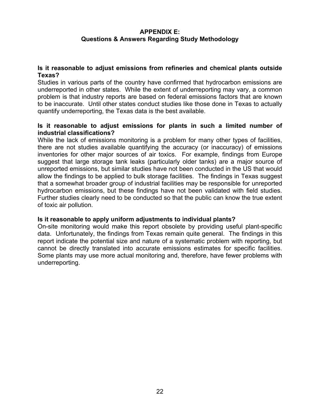### **APPENDIX E: Questions & Answers Regarding Study Methodology**

#### **Is it reasonable to adjust emissions from refineries and chemical plants outside Texas?**

Studies in various parts of the country have confirmed that hydrocarbon emissions are underreported in other states. While the extent of underreporting may vary, a common problem is that industry reports are based on federal emissions factors that are known to be inaccurate. Until other states conduct studies like those done in Texas to actually quantify underreporting, the Texas data is the best available.

### **Is it reasonable to adjust emissions for plants in such a limited number of industrial classifications?**

While the lack of emissions monitoring is a problem for many other types of facilities, there are not studies available quantifying the accuracy (or inaccuracy) of emissions inventories for other major sources of air toxics. For example, findings from Europe suggest that large storage tank leaks (particularly older tanks) are a major source of unreported emissions, but similar studies have not been conducted in the US that would allow the findings to be applied to bulk storage facilities. The findings in Texas suggest that a somewhat broader group of industrial facilities may be responsible for unreported hydrocarbon emissions, but these findings have not been validated with field studies. Further studies clearly need to be conducted so that the public can know the true extent of toxic air pollution.

### **Is it reasonable to apply uniform adjustments to individual plants?**

On-site monitoring would make this report obsolete by providing useful plant-specific data. Unfortunately, the findings from Texas remain quite general. The findings in this report indicate the potential size and nature of a systematic problem with reporting, but cannot be directly translated into accurate emissions estimates for specific facilities. Some plants may use more actual monitoring and, therefore, have fewer problems with underreporting.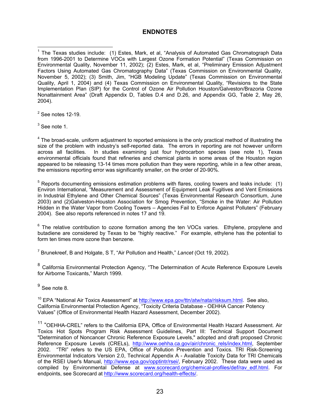### **ENDNOTES**

 $2$  See notes 12-19.

 $3$  See note 1.

<sup>4</sup> The broad-scale, uniform adjustment to reported emissions is the only practical method of illustrating the size of the problem with industry's self-reported data. The errors in reporting are not however uniform across all facilities. In studies examining just four hydrocarbon species (see note 1), Texas environmental officials found that refineries and chemical plants in some areas of the Houston region appeared to be releasing 13-14 times more pollution than they were reporting, while in a few other areas, the emissions reporting error was significantly smaller, on the order of 20-90%.

 $5$  Reports documenting emissions estimation problems with flares, cooling towers and leaks include: (1) Environ International, "Measurement and Assessment of Equipment Leak Fugitives and Vent Emissions in Industrial Ethylene and Other Chemical Sources" (Texas Environmental Research Consortium, June 2003) and (2)Galveston-Houston Association for Smog Prevention, "Smoke in the Water: Air Pollution Hidden in the Water Vapor from Cooling Towers – Agencies Fail to Enforce Against Polluters" (February 2004). See also reports referenced in notes 17 and 19.

 $6$  The relative contribution to ozone formation among the ten VOCs varies. Ethylene, propylene and butadiene are considered by Texas to be "highly reactive." For example, ethylene has the potential to form ten times more ozone than benzene.

7 Brunekreef, B and Holgate, S T, "Air Pollution and Health," *Lancet* (Oct 19, 2002).

<sup>8</sup> California Environmental Protection Agency, "The Determination of Acute Reference Exposure Levels for Airborne Toxicants," March 1999.

 $9$  See note 8.

 $10$  EPA "National Air Toxics Assessment" at http://www.epa.gov/ttn/atw/nata/risksum.html. See also, California Environmental Protection Agency, "Toxicity Criteria Database - OEHHA Cancer Potency Values" (Office of Environmental Health Hazard Assessment, December 2002).

<sup>11</sup> "OEHHA-CREL" refers to the California EPA, Office of Environmental Health Hazard Assessment. Air Toxics Hot Spots Program Risk Assessment Guidelines, Part III: Technical Support Document "Determination of Noncancer Chronic Reference Exposure Levels," adopted and draft proposed Chronic Reference Exposure Levels (CRELs), http://www.oehha.ca.gov/air/chronic\_rels/index.html, September 2002. "TRI" refers to the US EPA, Office of Pollution Prevention and Toxics. TRI Risk-Screening Environmental Indicators Version 2.0, Technical Appendix A - Available Toxicity Data for TRI Chemicals of the RSEI User's Manual, http://www.epa.gov/opptintr/rsei/, February 2002. These data were used as compiled by Environmental Defense at www.scorecard.org/chemical-profiles/def/rav\_edf.html. For endpoints, see Scorecard at http://www.scorecard.org/health-effects/.

<sup>&</sup>lt;u>nesses</u><br><sup>1</sup> The Texas studies include: (1) Estes, Mark, et al, "Analysis of Automated Gas Chromatograph Data from 1996-2001 to Determine VOCs with Largest Ozone Formation Potential" (Texas Commission on Environmental Quality, November 11, 2002); (2) Estes, Mark, et al, "Preliminary Emission Adjustment Factors Using Automated Gas Chromatography Data" (Texas Commission on Environmental Quality, November 5, 2002); (3) Smith, Jim, "HGB Modeling Update" (Texas Commission on Environmental Quality, April 1, 2004) and (4) Texas Commission on Environmental Quality, "Revisions to the State Implementation Plan (SIP) for the Control of Ozone Air Pollution Houston/Galveston/Brazoria Ozone Nonattainment Area" (Draft Appendix D, Tables D.4 and D.26, and Appendix GG, Table 2, May 26, 2004).